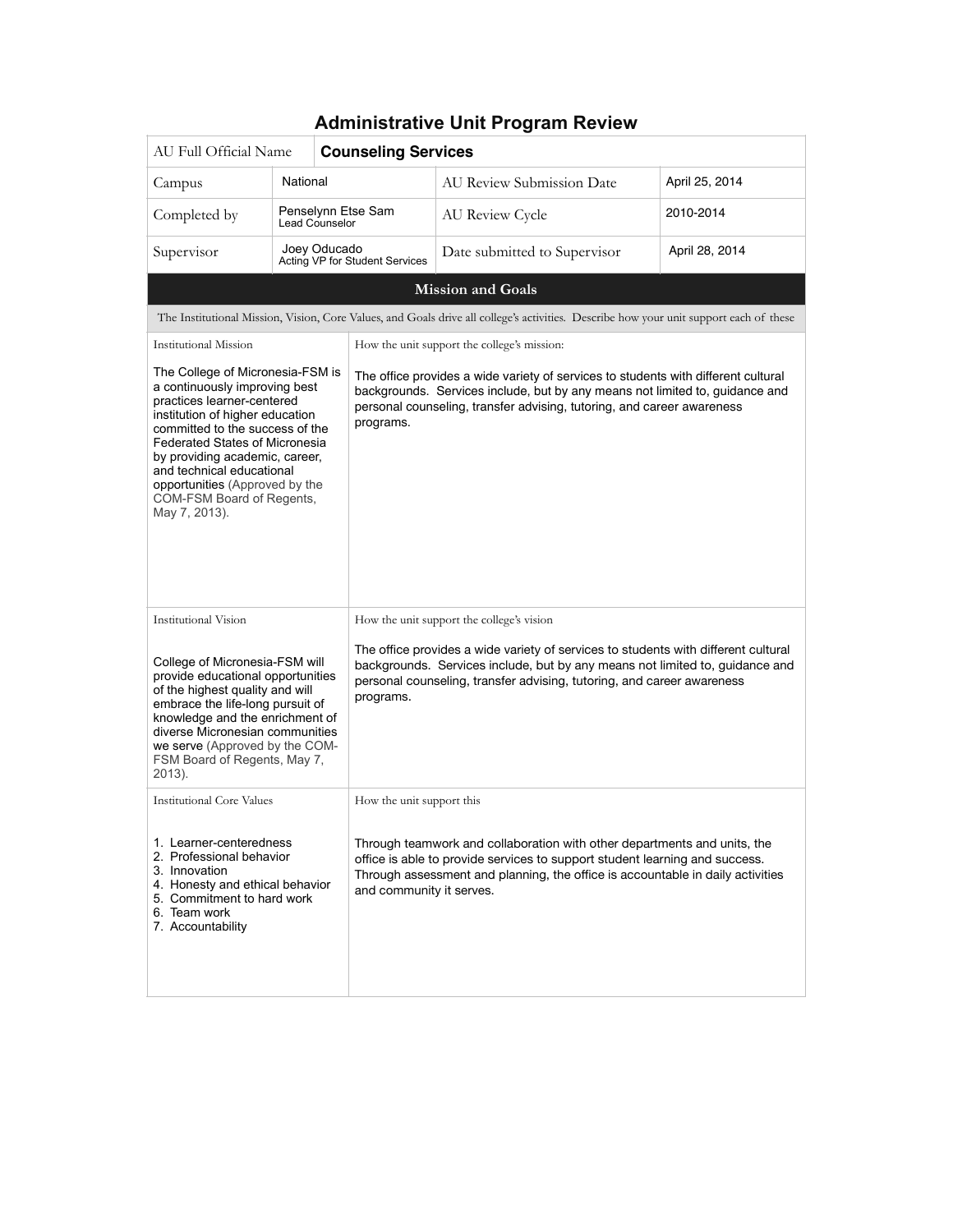| AU Full Official Name                                                                                                                                                                                                                                                                                                                                                                                                                                                                                                                                                                                                      |                                      | <b>Counseling Services</b>     |                                                                                                                                                                                                                                                                       |                |
|----------------------------------------------------------------------------------------------------------------------------------------------------------------------------------------------------------------------------------------------------------------------------------------------------------------------------------------------------------------------------------------------------------------------------------------------------------------------------------------------------------------------------------------------------------------------------------------------------------------------------|--------------------------------------|--------------------------------|-----------------------------------------------------------------------------------------------------------------------------------------------------------------------------------------------------------------------------------------------------------------------|----------------|
| Campus                                                                                                                                                                                                                                                                                                                                                                                                                                                                                                                                                                                                                     | National                             |                                | AU Review Submission Date                                                                                                                                                                                                                                             | April 25, 2014 |
| Completed by                                                                                                                                                                                                                                                                                                                                                                                                                                                                                                                                                                                                               | Penselynn Etse Sam<br>Lead Counselor |                                | AU Review Cycle                                                                                                                                                                                                                                                       | 2010-2014      |
| Supervisor                                                                                                                                                                                                                                                                                                                                                                                                                                                                                                                                                                                                                 | Joey Oducado                         | Acting VP for Student Services | Date submitted to Supervisor                                                                                                                                                                                                                                          | April 28, 2014 |
|                                                                                                                                                                                                                                                                                                                                                                                                                                                                                                                                                                                                                            |                                      |                                | <b>Mission and Goals</b>                                                                                                                                                                                                                                              |                |
|                                                                                                                                                                                                                                                                                                                                                                                                                                                                                                                                                                                                                            |                                      |                                | The Institutional Mission, Vision, Core Values, and Goals drive all college's activities. Describe how your unit support each of these                                                                                                                                |                |
| <b>Institutional Mission</b>                                                                                                                                                                                                                                                                                                                                                                                                                                                                                                                                                                                               |                                      |                                | How the unit support the college's mission:                                                                                                                                                                                                                           |                |
| The College of Micronesia-FSM is<br>The office provides a wide variety of services to students with different cultural<br>a continuously improving best<br>backgrounds. Services include, but by any means not limited to, guidance and<br>practices learner-centered<br>personal counseling, transfer advising, tutoring, and career awareness<br>institution of higher education<br>programs.<br>committed to the success of the<br><b>Federated States of Micronesia</b><br>by providing academic, career,<br>and technical educational<br>opportunities (Approved by the<br>COM-FSM Board of Regents,<br>May 7, 2013). |                                      |                                |                                                                                                                                                                                                                                                                       |                |
| <b>Institutional Vision</b>                                                                                                                                                                                                                                                                                                                                                                                                                                                                                                                                                                                                |                                      |                                | How the unit support the college's vision                                                                                                                                                                                                                             |                |
| College of Micronesia-FSM will<br>provide educational opportunities<br>of the highest quality and will<br>embrace the life-long pursuit of<br>knowledge and the enrichment of<br>diverse Micronesian communities<br>we serve (Approved by the COM-<br>FSM Board of Regents, May 7,<br>2013).                                                                                                                                                                                                                                                                                                                               |                                      | programs.                      | The office provides a wide variety of services to students with different cultural<br>backgrounds. Services include, but by any means not limited to, guidance and<br>personal counseling, transfer advising, tutoring, and career awareness                          |                |
| <b>Institutional Core Values</b>                                                                                                                                                                                                                                                                                                                                                                                                                                                                                                                                                                                           |                                      | How the unit support this      |                                                                                                                                                                                                                                                                       |                |
| 1. Learner-centeredness<br>2. Professional behavior<br>3. Innovation<br>4. Honesty and ethical behavior<br>5. Commitment to hard work<br>6. Team work<br>7. Accountability                                                                                                                                                                                                                                                                                                                                                                                                                                                 |                                      |                                | Through teamwork and collaboration with other departments and units, the<br>office is able to provide services to support student learning and success.<br>Through assessment and planning, the office is accountable in daily activities<br>and community it serves. |                |

#### **Administrative Unit Program Review**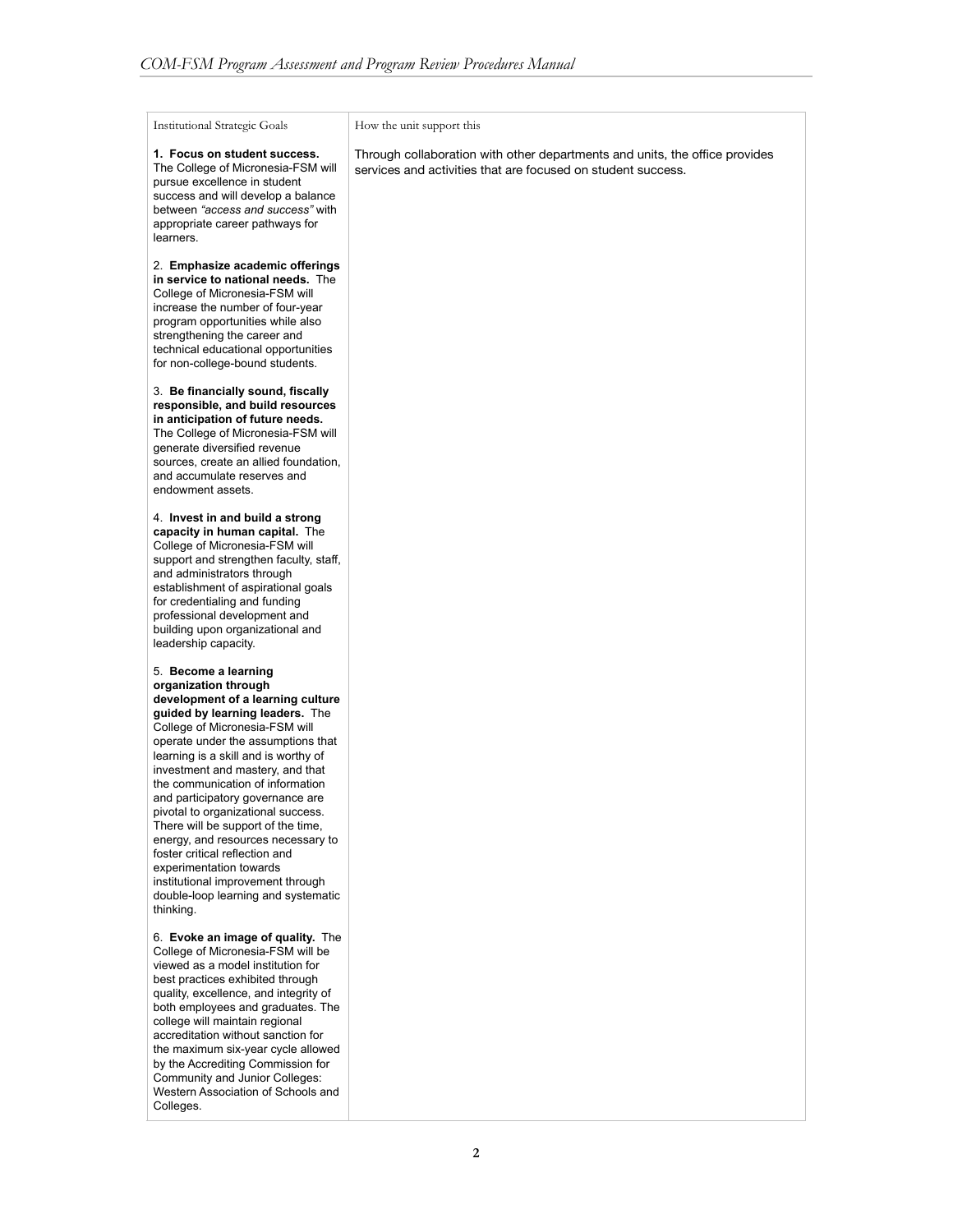Institutional Strategic Goals

#### How the unit support this

**1. Focus on student success.**  The College of Micronesia-FSM will pursue excellence in student success and will develop a balance between *"access and success"* with appropriate career pathways for learners.

2. **Emphasize academic offerings in service to national needs.** The College of Micronesia-FSM will increase the number of four-year program opportunities while also strengthening the career and technical educational opportunities for non-college-bound students.

3. **Be financially sound, fiscally responsible, and build resources in anticipation of future needs.**  The College of Micronesia-FSM will generate diversified revenue sources, create an allied foundation. and accumulate reserves and endowment assets.

4. **Invest in and build a strong capacity in human capital.** The College of Micronesia-FSM will support and strengthen faculty, staff, and administrators through establishment of aspirational goals for credentialing and funding professional development and building upon organizational and leadership capacity.

5. **Become a learning organization through development of a learning culture guided by learning leaders.** The College of Micronesia-FSM will operate under the assumptions that learning is a skill and is worthy of investment and mastery, and that the communication of information and participatory governance are pivotal to organizational success. There will be support of the time, energy, and resources necessary to foster critical reflection and experimentation towards institutional improvement through double-loop learning and systematic thinking.

6. **Evoke an image of quality.** The College of Micronesia-FSM will be viewed as a model institution for best practices exhibited through quality, excellence, and integrity of both employees and graduates. The college will maintain regional accreditation without sanction for the maximum six-year cycle allowed by the Accrediting Commission for Community and Junior Colleges: Western Association of Schools and Colleges.

Through collaboration with other departments and units, the office provides services and activities that are focused on student success.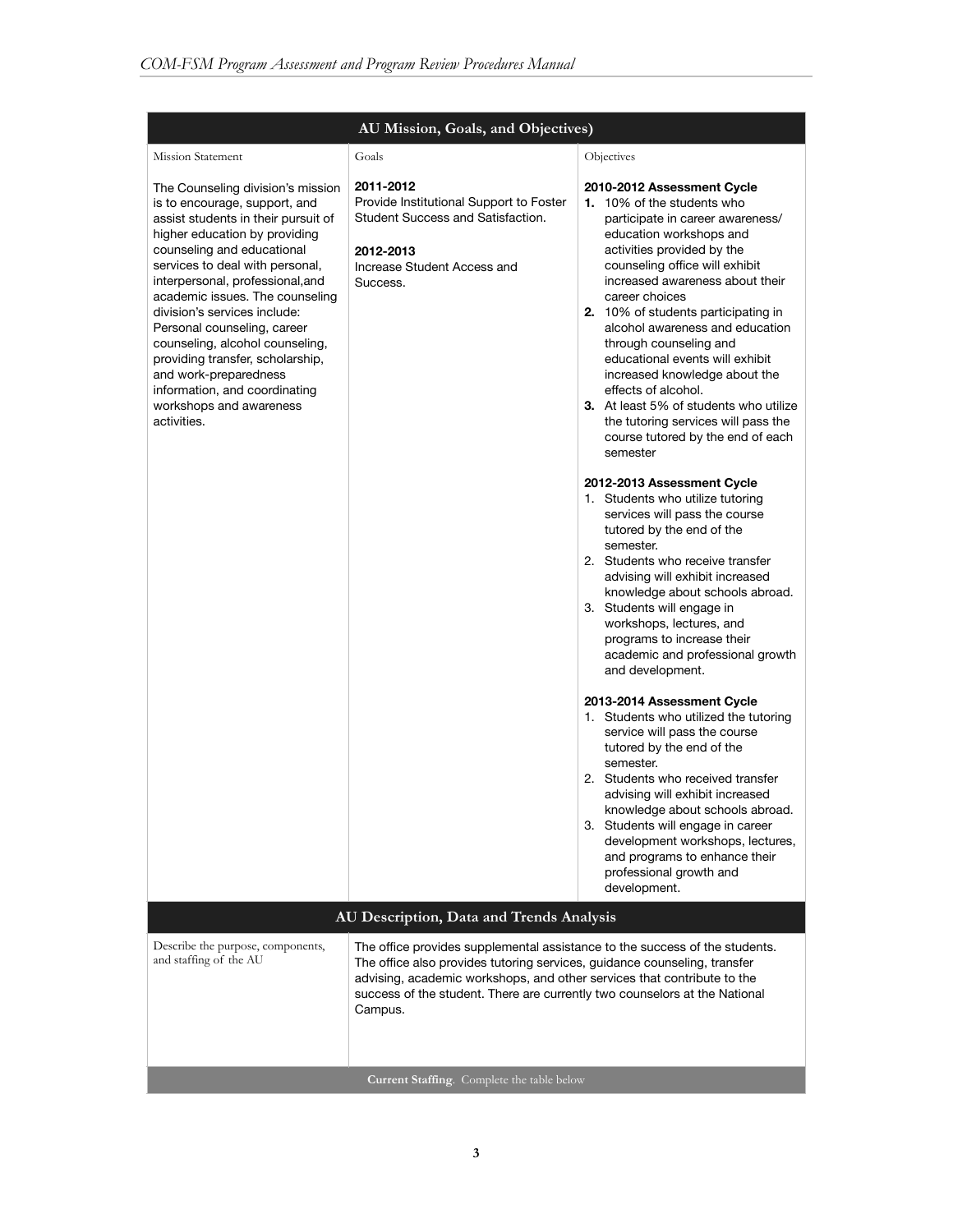|                                                                                                                                                                                                                                                                                                                                                                                                                                                                                                                              | AU Mission, Goals, and Objectives)                                                                                                                                                                                                                                                                                           |                                                                                                                                                                                                                                                                                                                                                                                                                                                                                                                                                                                      |  |  |  |  |
|------------------------------------------------------------------------------------------------------------------------------------------------------------------------------------------------------------------------------------------------------------------------------------------------------------------------------------------------------------------------------------------------------------------------------------------------------------------------------------------------------------------------------|------------------------------------------------------------------------------------------------------------------------------------------------------------------------------------------------------------------------------------------------------------------------------------------------------------------------------|--------------------------------------------------------------------------------------------------------------------------------------------------------------------------------------------------------------------------------------------------------------------------------------------------------------------------------------------------------------------------------------------------------------------------------------------------------------------------------------------------------------------------------------------------------------------------------------|--|--|--|--|
| <b>Mission Statement</b>                                                                                                                                                                                                                                                                                                                                                                                                                                                                                                     | Goals                                                                                                                                                                                                                                                                                                                        | Objectives                                                                                                                                                                                                                                                                                                                                                                                                                                                                                                                                                                           |  |  |  |  |
| The Counseling division's mission<br>is to encourage, support, and<br>assist students in their pursuit of<br>higher education by providing<br>counseling and educational<br>services to deal with personal,<br>interpersonal, professional, and<br>academic issues. The counseling<br>division's services include:<br>Personal counseling, career<br>counseling, alcohol counseling,<br>providing transfer, scholarship,<br>and work-preparedness<br>information, and coordinating<br>workshops and awareness<br>activities. | 2011-2012<br>Provide Institutional Support to Foster<br>Student Success and Satisfaction.<br>2012-2013<br>Increase Student Access and<br>Success.                                                                                                                                                                            | 2010-2012 Assessment Cycle<br>1. 10% of the students who<br>participate in career awareness/<br>education workshops and<br>activities provided by the<br>counseling office will exhibit<br>increased awareness about their<br>career choices<br>2. 10% of students participating in<br>alcohol awareness and education<br>through counseling and<br>educational events will exhibit<br>increased knowledge about the<br>effects of alcohol.<br><b>3.</b> At least 5% of students who utilize<br>the tutoring services will pass the<br>course tutored by the end of each<br>semester |  |  |  |  |
|                                                                                                                                                                                                                                                                                                                                                                                                                                                                                                                              |                                                                                                                                                                                                                                                                                                                              | 2012-2013 Assessment Cycle<br>1. Students who utilize tutoring<br>services will pass the course<br>tutored by the end of the<br>semester.<br>2. Students who receive transfer<br>advising will exhibit increased<br>knowledge about schools abroad.<br>3. Students will engage in<br>workshops, lectures, and<br>programs to increase their<br>academic and professional growth<br>and development.                                                                                                                                                                                  |  |  |  |  |
|                                                                                                                                                                                                                                                                                                                                                                                                                                                                                                                              |                                                                                                                                                                                                                                                                                                                              | 2013-2014 Assessment Cycle<br>1. Students who utilized the tutoring<br>service will pass the course<br>tutored by the end of the<br>semester.<br>2. Students who received transfer<br>advising will exhibit increased<br>knowledge about schools abroad.<br>3. Students will engage in career<br>development workshops, lectures,<br>and programs to enhance their<br>professional growth and<br>development.                                                                                                                                                                        |  |  |  |  |
|                                                                                                                                                                                                                                                                                                                                                                                                                                                                                                                              | AU Description, Data and Trends Analysis                                                                                                                                                                                                                                                                                     |                                                                                                                                                                                                                                                                                                                                                                                                                                                                                                                                                                                      |  |  |  |  |
| Describe the purpose, components,<br>and staffing of the AU                                                                                                                                                                                                                                                                                                                                                                                                                                                                  | The office provides supplemental assistance to the success of the students.<br>The office also provides tutoring services, guidance counseling, transfer<br>advising, academic workshops, and other services that contribute to the<br>success of the student. There are currently two counselors at the National<br>Campus. |                                                                                                                                                                                                                                                                                                                                                                                                                                                                                                                                                                                      |  |  |  |  |
| Current Staffing. Complete the table below                                                                                                                                                                                                                                                                                                                                                                                                                                                                                   |                                                                                                                                                                                                                                                                                                                              |                                                                                                                                                                                                                                                                                                                                                                                                                                                                                                                                                                                      |  |  |  |  |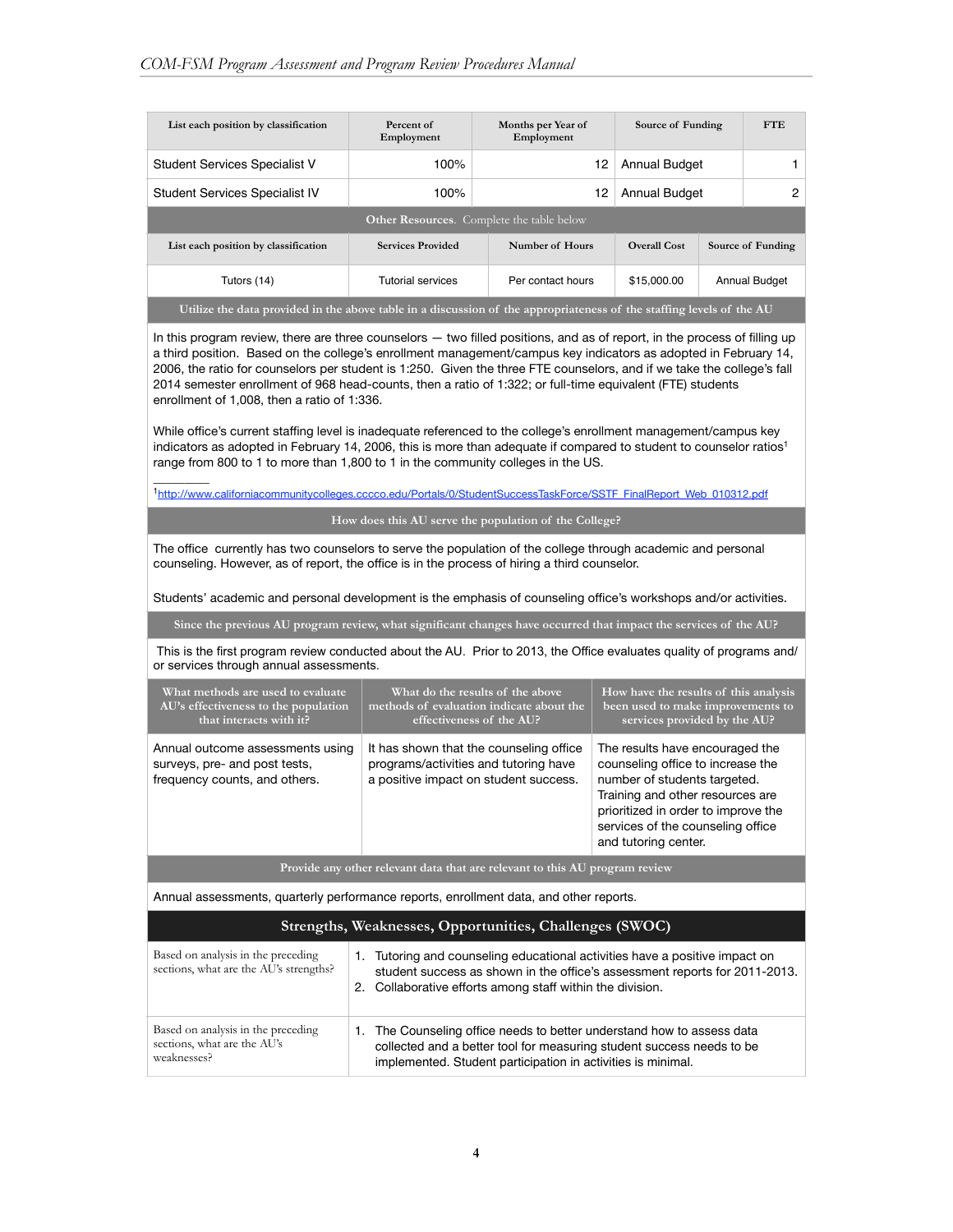$\mathcal{L}=\mathcal{L}$ 

| List each position by classification                                                                                 | Percent of<br>Employment | Months per Year of<br>Employment | Source of Funding   |  | <b>FTE</b>           |  |  |  |
|----------------------------------------------------------------------------------------------------------------------|--------------------------|----------------------------------|---------------------|--|----------------------|--|--|--|
| <b>Student Services Specialist V</b>                                                                                 | 100%                     | 12                               | Annual Budget       |  |                      |  |  |  |
| <b>Student Services Specialist IV</b>                                                                                | 100%                     | 12                               | Annual Budget       |  | 2                    |  |  |  |
| <b>Other Resources.</b> Complete the table below                                                                     |                          |                                  |                     |  |                      |  |  |  |
| List each position by classification                                                                                 | <b>Services Provided</b> | Number of Hours                  | <b>Overall Cost</b> |  | Source of Funding    |  |  |  |
| Tutors (14)                                                                                                          | <b>Tutorial services</b> | Per contact hours                | \$15,000.00         |  | <b>Annual Budget</b> |  |  |  |
| Utilize the data provided in the above table in a discussion of the appropriateness of the staffing levels of the AU |                          |                                  |                     |  |                      |  |  |  |

In this program review, there are three counselors — two filled positions, and as of report, in the process of filling up a third position. Based on the college's enrollment management/campus key indicators as adopted in February 14, 2006, the ratio for counselors per student is 1:250. Given the three FTE counselors, and if we take the college's fall 2014 semester enrollment of 968 head-counts, then a ratio of 1:322; or full-time equivalent (FTE) students enrollment of 1,008, then a ratio of 1:336.

While office's current staffing level is inadequate referenced to the college's enrollment management/campus key indicators as adopted in February 14, 2006, this is more than adequate if compared to student to counselor ratios<sup>1</sup> range from 800 to 1 to more than 1,800 to 1 in the community colleges in the US.

1http://[www.californiacommunitycolleges.cccco.edu/Portals/0/StudentSuccessTaskForce/SSTF\\_FinalReport\\_Web\\_010312.pdf](http://www.californiacommunitycolleges.cccco.edu/Portals/0/StudentSuccessTaskForce/SSTF_FinalReport_Web_010312.pdf)

**How does this AU serve the population of the College?**

The office currently has two counselors to serve the population of the college through academic and personal counseling. However, as of report, the office is in the process of hiring a third counselor.

Students' academic and personal development is the emphasis of counseling office's workshops and/or activities.

**Since the previous AU program review, what significant changes have occurred that impact the services of the AU?**

 This is the first program review conducted about the AU. Prior to 2013, the Office evaluates quality of programs and/ or services through annual assessments.

| What methods are used to evaluate                                                                  | What do the results of the above                                                                                          | How have the results of this analysis                                                                                                                                                                                                        |
|----------------------------------------------------------------------------------------------------|---------------------------------------------------------------------------------------------------------------------------|----------------------------------------------------------------------------------------------------------------------------------------------------------------------------------------------------------------------------------------------|
| AU's effectiveness to the population                                                               | methods of evaluation indicate about the                                                                                  | been used to make improvements to                                                                                                                                                                                                            |
| that interacts with it?                                                                            | effectiveness of the AU?                                                                                                  | services provided by the AU?                                                                                                                                                                                                                 |
| Annual outcome assessments using<br>surveys, pre- and post tests,<br>frequency counts, and others. | It has shown that the counseling office<br>programs/activities and tutoring have<br>a positive impact on student success. | The results have encouraged the<br>counseling office to increase the<br>number of students targeted.<br>Training and other resources are<br>prioritized in order to improve the<br>services of the counseling office<br>and tutoring center. |

**Provide any other relevant data that are relevant to this AU program review**

Annual assessments, quarterly performance reports, enrollment data, and other reports.

#### **Strengths, Weaknesses, Opportunities, Challenges (SWOC)**

| Based on analysis in the preceding<br>sections, what are the AU's strengths?     |    | Tutoring and counseling educational activities have a positive impact on<br>student success as shown in the office's assessment reports for 2011-2013.<br>2. Collaborative efforts among staff within the division. |
|----------------------------------------------------------------------------------|----|---------------------------------------------------------------------------------------------------------------------------------------------------------------------------------------------------------------------|
| Based on analysis in the preceding<br>sections, what are the AU's<br>weaknesses? | 1. | The Counseling office needs to better understand how to assess data<br>collected and a better tool for measuring student success needs to be<br>implemented. Student participation in activities is minimal.        |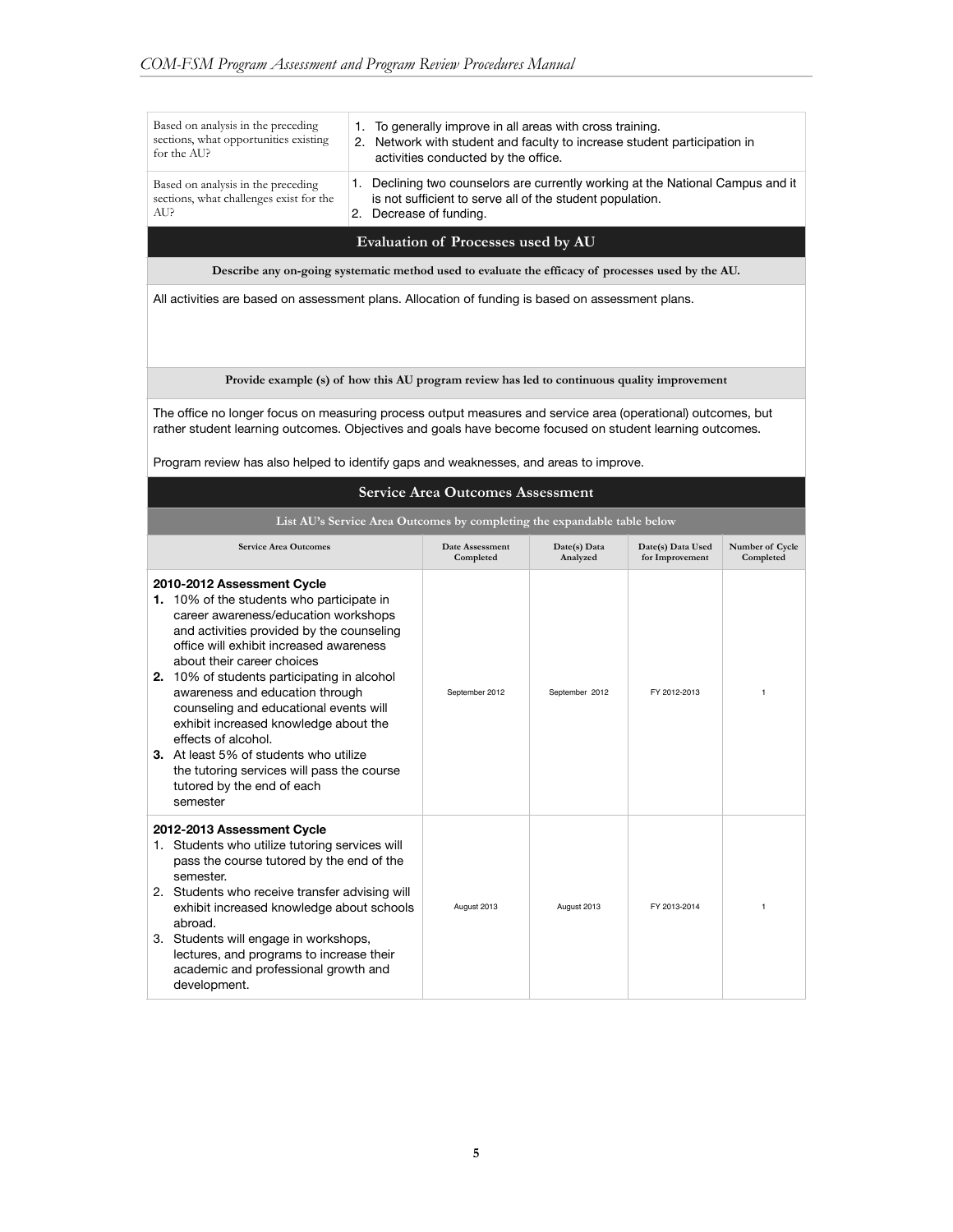| Based on analysis in the preceding<br>sections, what opportunities existing<br>for the AU?                                                                                                                                                                                                                                                                                                                                                                                                                                                                          | 1. To generally improve in all areas with cross training.<br>2. Network with student and faculty to increase student participation in<br>activities conducted by the office. |                                                                                                                                           |                          |                                      |                              |
|---------------------------------------------------------------------------------------------------------------------------------------------------------------------------------------------------------------------------------------------------------------------------------------------------------------------------------------------------------------------------------------------------------------------------------------------------------------------------------------------------------------------------------------------------------------------|------------------------------------------------------------------------------------------------------------------------------------------------------------------------------|-------------------------------------------------------------------------------------------------------------------------------------------|--------------------------|--------------------------------------|------------------------------|
| Based on analysis in the preceding<br>sections, what challenges exist for the<br>AU?                                                                                                                                                                                                                                                                                                                                                                                                                                                                                | 1.<br>2. Decrease of funding.                                                                                                                                                | Declining two counselors are currently working at the National Campus and it<br>is not sufficient to serve all of the student population. |                          |                                      |                              |
|                                                                                                                                                                                                                                                                                                                                                                                                                                                                                                                                                                     |                                                                                                                                                                              | Evaluation of Processes used by AU                                                                                                        |                          |                                      |                              |
| Describe any on-going systematic method used to evaluate the efficacy of processes used by the AU.                                                                                                                                                                                                                                                                                                                                                                                                                                                                  |                                                                                                                                                                              |                                                                                                                                           |                          |                                      |                              |
| All activities are based on assessment plans. Allocation of funding is based on assessment plans.                                                                                                                                                                                                                                                                                                                                                                                                                                                                   |                                                                                                                                                                              |                                                                                                                                           |                          |                                      |                              |
| Provide example (s) of how this AU program review has led to continuous quality improvement                                                                                                                                                                                                                                                                                                                                                                                                                                                                         |                                                                                                                                                                              |                                                                                                                                           |                          |                                      |                              |
| The office no longer focus on measuring process output measures and service area (operational) outcomes, but<br>rather student learning outcomes. Objectives and goals have become focused on student learning outcomes.                                                                                                                                                                                                                                                                                                                                            |                                                                                                                                                                              |                                                                                                                                           |                          |                                      |                              |
| Program review has also helped to identify gaps and weaknesses, and areas to improve.                                                                                                                                                                                                                                                                                                                                                                                                                                                                               |                                                                                                                                                                              | <b>Service Area Outcomes Assessment</b>                                                                                                   |                          |                                      |                              |
|                                                                                                                                                                                                                                                                                                                                                                                                                                                                                                                                                                     |                                                                                                                                                                              | List AU's Service Area Outcomes by completing the expandable table below                                                                  |                          |                                      |                              |
| <b>Service Area Outcomes</b>                                                                                                                                                                                                                                                                                                                                                                                                                                                                                                                                        |                                                                                                                                                                              | Date Assessment<br>Completed                                                                                                              | Date(s) Data<br>Analyzed | Date(s) Data Used<br>for Improvement | Number of Cycle<br>Completed |
| 2010-2012 Assessment Cycle<br>1. 10% of the students who participate in<br>career awareness/education workshops<br>and activities provided by the counseling<br>office will exhibit increased awareness<br>about their career choices<br>2. 10% of students participating in alcohol<br>awareness and education through<br>counseling and educational events will<br>exhibit increased knowledge about the<br>effects of alcohol.<br>3. At least 5% of students who utilize<br>the tutoring services will pass the course<br>tutored by the end of each<br>semester |                                                                                                                                                                              | September 2012                                                                                                                            | September 2012           | FY 2012-2013                         | 1                            |
| 2012-2013 Assessment Cycle<br>1. Students who utilize tutoring services will<br>pass the course tutored by the end of the<br>semester.<br>2. Students who receive transfer advising will<br>exhibit increased knowledge about schools<br>abroad.<br>3. Students will engage in workshops,<br>lectures, and programs to increase their<br>academic and professional growth and<br>development.                                                                                                                                                                       |                                                                                                                                                                              | August 2013                                                                                                                               | August 2013              | FY 2013-2014                         | 1                            |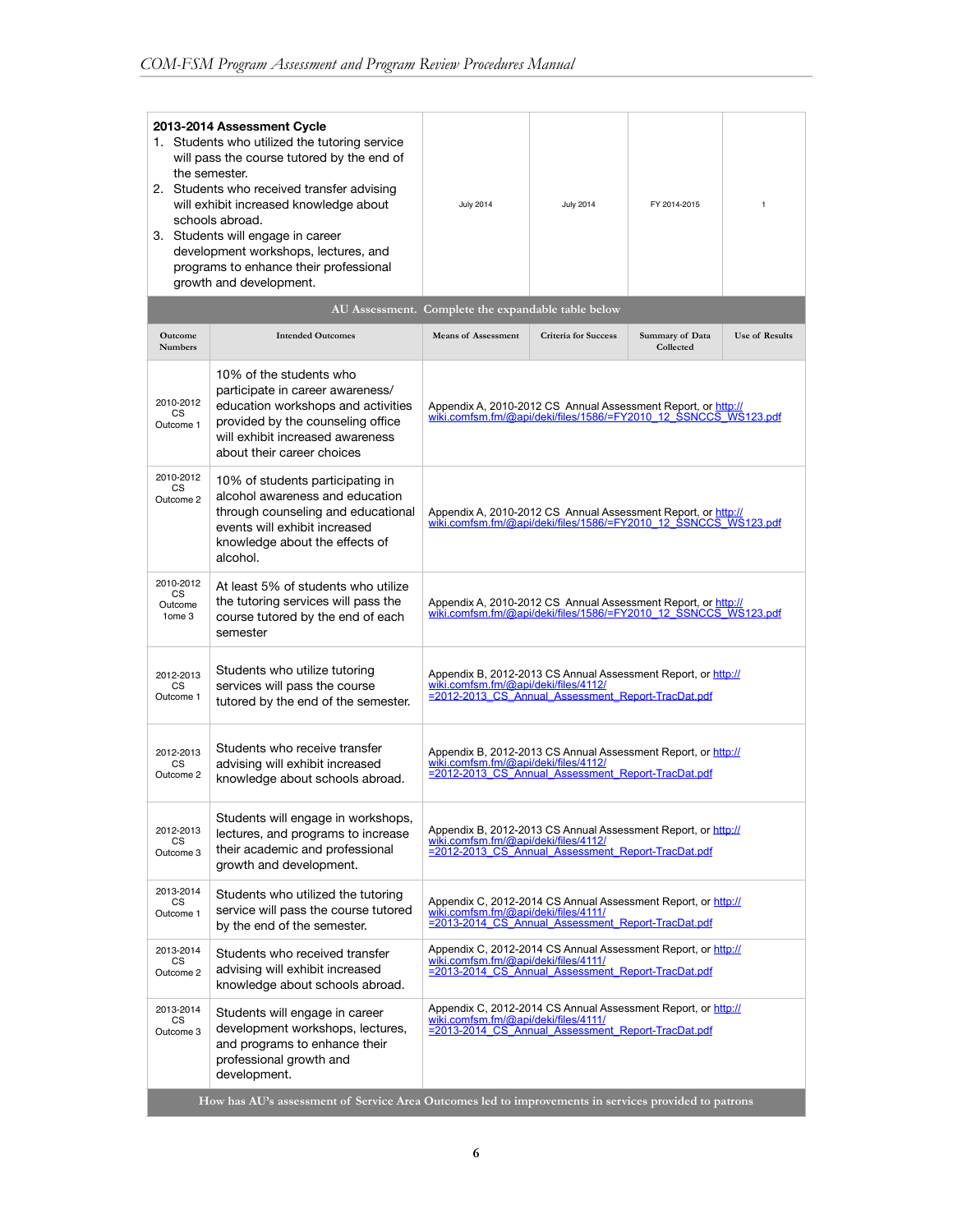| 2013-2014 Assessment Cycle<br>1. Students who utilized the tutoring service<br>will pass the course tutored by the end of<br>the semester.<br>2. Students who received transfer advising<br>will exhibit increased knowledge about<br>schools abroad.<br>3. Students will engage in career<br>development workshops, lectures, and<br>programs to enhance their professional<br>growth and development. |                                                                                                                                                                                                          | <b>July 2014</b>                                                                                                                                            | <b>July 2014</b>            | FY 2014-2015                 | 1                     |  |
|---------------------------------------------------------------------------------------------------------------------------------------------------------------------------------------------------------------------------------------------------------------------------------------------------------------------------------------------------------------------------------------------------------|----------------------------------------------------------------------------------------------------------------------------------------------------------------------------------------------------------|-------------------------------------------------------------------------------------------------------------------------------------------------------------|-----------------------------|------------------------------|-----------------------|--|
|                                                                                                                                                                                                                                                                                                                                                                                                         |                                                                                                                                                                                                          | AU Assessment. Complete the expandable table below                                                                                                          |                             |                              |                       |  |
| Outcome<br><b>Numbers</b>                                                                                                                                                                                                                                                                                                                                                                               | <b>Intended Outcomes</b>                                                                                                                                                                                 | <b>Means of Assessment</b>                                                                                                                                  | <b>Criteria for Success</b> | Summary of Data<br>Collected | <b>Use of Results</b> |  |
| 2010-2012<br><b>CS</b><br>Outcome 1                                                                                                                                                                                                                                                                                                                                                                     | 10% of the students who<br>participate in career awareness/<br>education workshops and activities<br>provided by the counseling office<br>will exhibit increased awareness<br>about their career choices | Appendix A, 2010-2012 CS Annual Assessment Report, or http://<br>wiki.comfsm.fm/@api/deki/files/1586/=FY2010_12_SSNCCS_WS123.pdf                            |                             |                              |                       |  |
| 2010-2012<br><b>CS</b><br>Outcome 2                                                                                                                                                                                                                                                                                                                                                                     | 10% of students participating in<br>alcohol awareness and education<br>through counseling and educational<br>events will exhibit increased<br>knowledge about the effects of<br>alcohol.                 | Appendix A, 2010-2012 CS Annual Assessment Report, or http://<br>wiki.comfsm.fm/@api/deki/files/1586/=FY2010_12_SSNCCS_WS123.pdf                            |                             |                              |                       |  |
| 2010-2012<br><b>CS</b><br>Outcome<br>1ome 3                                                                                                                                                                                                                                                                                                                                                             | At least 5% of students who utilize<br>the tutoring services will pass the<br>course tutored by the end of each<br>semester                                                                              | Appendix A, 2010-2012 CS Annual Assessment Report, or http://<br>wiki.comfsm.fm/@api/deki/files/1586/=FY2010_12_SSNCCS_WS123.pdf                            |                             |                              |                       |  |
| 2012-2013<br><b>CS</b><br>Outcome 1                                                                                                                                                                                                                                                                                                                                                                     | Students who utilize tutoring<br>services will pass the course<br>tutored by the end of the semester.                                                                                                    | Appendix B, 2012-2013 CS Annual Assessment Report, or http://<br>wiki.comfsm.fm/@api/deki/files/4112/<br>=2012-2013 CS Annual Assessment Report-TracDat.pdf |                             |                              |                       |  |
| 2012-2013<br><b>CS</b><br>Outcome 2                                                                                                                                                                                                                                                                                                                                                                     | Students who receive transfer<br>advising will exhibit increased<br>knowledge about schools abroad.                                                                                                      | Appendix B, 2012-2013 CS Annual Assessment Report, or http://<br>wiki.comfsm.fm/@api/deki/files/4112/<br>=2012-2013_CS_Annual_Assessment_Report-TracDat.pdf |                             |                              |                       |  |
| 2012-2013<br>CS<br>Outcome 3                                                                                                                                                                                                                                                                                                                                                                            | Students will engage in workshops,<br>lectures, and programs to increase<br>their academic and professional<br>growth and development.                                                                   | Appendix B, 2012-2013 CS Annual Assessment Report, or http://<br>wiki.comfsm.fm/@api/deki/files/4112/<br>=2012-2013 CS Annual Assessment Report-TracDat.pdf |                             |                              |                       |  |
| 2013-2014<br>CS<br>Outcome 1                                                                                                                                                                                                                                                                                                                                                                            | Students who utilized the tutoring<br>service will pass the course tutored<br>by the end of the semester.                                                                                                | Appendix C, 2012-2014 CS Annual Assessment Report, or http://<br>wiki.comfsm.fm/@api/deki/files/4111/<br>=2013-2014_CS_Annual_Assessment_Report-TracDat.pdf |                             |                              |                       |  |
| 2013-2014<br>CS<br>Outcome 2                                                                                                                                                                                                                                                                                                                                                                            | Students who received transfer<br>advising will exhibit increased<br>knowledge about schools abroad.                                                                                                     | Appendix C, 2012-2014 CS Annual Assessment Report, or http://<br>wiki.comfsm.fm/@api/deki/files/4111/<br>=2013-2014 CS Annual Assessment Report-TracDat.pdf |                             |                              |                       |  |
| 2013-2014<br>Students will engage in career<br>CS<br>development workshops, lectures,<br>Outcome 3<br>and programs to enhance their<br>professional growth and<br>development.                                                                                                                                                                                                                          |                                                                                                                                                                                                          | Appendix C, 2012-2014 CS Annual Assessment Report, or http://<br>wiki.comfsm.fm/@api/deki/files/4111/<br>=2013-2014_CS_Annual_Assessment_Report-TracDat.pdf |                             |                              |                       |  |
|                                                                                                                                                                                                                                                                                                                                                                                                         | How has AU's assessment of Service Area Outcomes led to improvements in services provided to patrons                                                                                                     |                                                                                                                                                             |                             |                              |                       |  |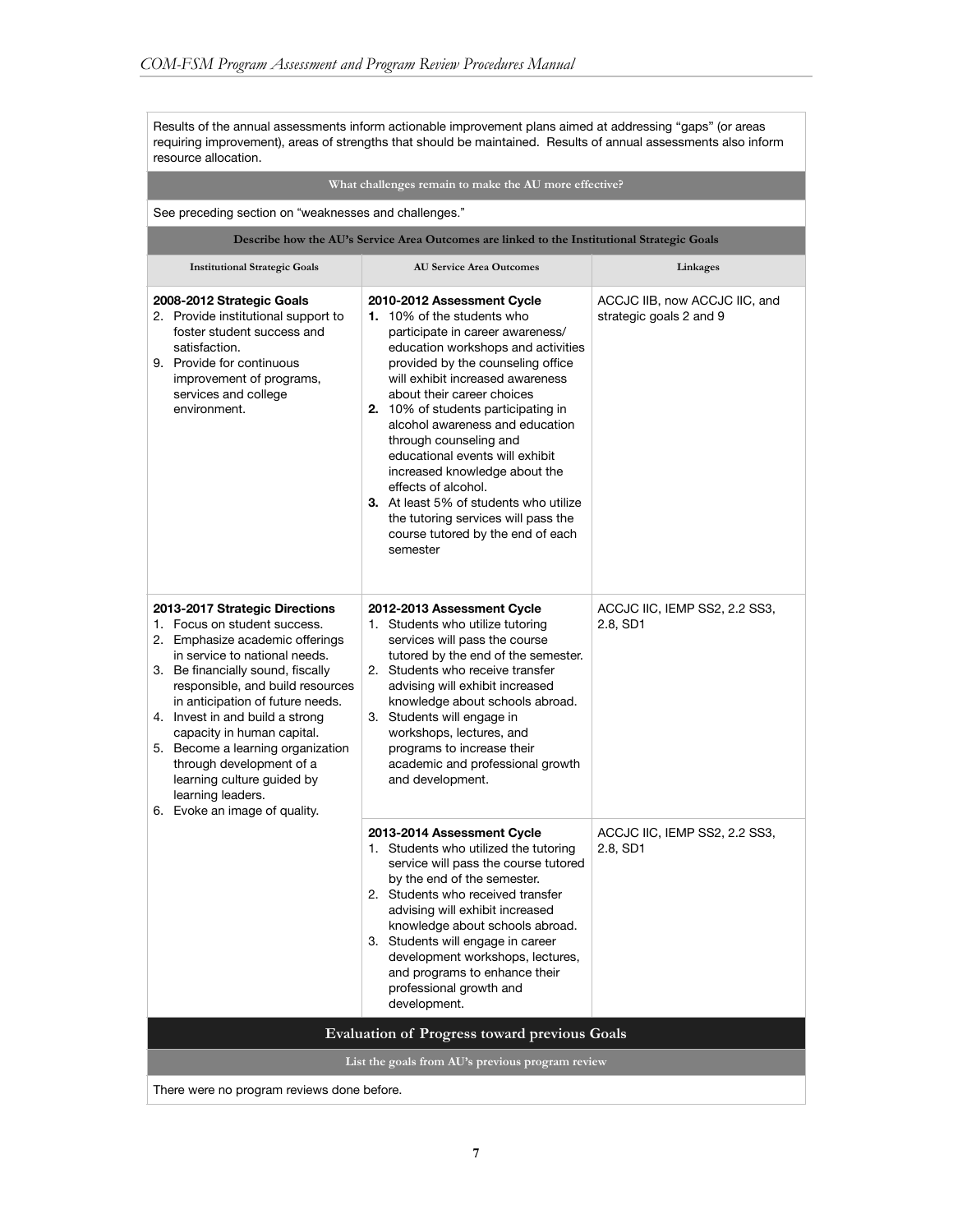Results of the annual assessments inform actionable improvement plans aimed at addressing "gaps" (or areas requiring improvement), areas of strengths that should be maintained. Results of annual assessments also inform resource allocation.

#### **What challenges remain to make the AU more effective?**

See preceding section on "weaknesses and challenges."

**Describe how the AU's Service Area Outcomes are linked to the Institutional Strategic Goals**

| <b>Institutional Strategic Goals</b>                                                                                                                                                                                                                                                                                                                                                                                                                                  | <b>AU Service Area Outcomes</b>                                                                                                                                                                                                                                                                                                                                                                                                                                                                                                                                                   | Linkages                                                 |
|-----------------------------------------------------------------------------------------------------------------------------------------------------------------------------------------------------------------------------------------------------------------------------------------------------------------------------------------------------------------------------------------------------------------------------------------------------------------------|-----------------------------------------------------------------------------------------------------------------------------------------------------------------------------------------------------------------------------------------------------------------------------------------------------------------------------------------------------------------------------------------------------------------------------------------------------------------------------------------------------------------------------------------------------------------------------------|----------------------------------------------------------|
| 2008-2012 Strategic Goals<br>2. Provide institutional support to<br>foster student success and<br>satisfaction.<br>9. Provide for continuous<br>improvement of programs,<br>services and college<br>environment.                                                                                                                                                                                                                                                      | 2010-2012 Assessment Cycle<br>1. 10% of the students who<br>participate in career awareness/<br>education workshops and activities<br>provided by the counseling office<br>will exhibit increased awareness<br>about their career choices<br>2. 10% of students participating in<br>alcohol awareness and education<br>through counseling and<br>educational events will exhibit<br>increased knowledge about the<br>effects of alcohol.<br><b>3.</b> At least 5% of students who utilize<br>the tutoring services will pass the<br>course tutored by the end of each<br>semester | ACCJC IIB, now ACCJC IIC, and<br>strategic goals 2 and 9 |
| 2013-2017 Strategic Directions<br>1. Focus on student success.<br>2. Emphasize academic offerings<br>in service to national needs.<br>3. Be financially sound, fiscally<br>responsible, and build resources<br>in anticipation of future needs.<br>4. Invest in and build a strong<br>capacity in human capital.<br>5. Become a learning organization<br>through development of a<br>learning culture guided by<br>learning leaders.<br>6. Evoke an image of quality. | 2012-2013 Assessment Cycle<br>1. Students who utilize tutoring<br>services will pass the course<br>tutored by the end of the semester.<br>2. Students who receive transfer<br>advising will exhibit increased<br>knowledge about schools abroad.<br>3. Students will engage in<br>workshops, lectures, and<br>programs to increase their<br>academic and professional growth<br>and development.                                                                                                                                                                                  | ACCJC IIC, IEMP SS2, 2.2 SS3,<br>2.8, SD1                |
|                                                                                                                                                                                                                                                                                                                                                                                                                                                                       | 2013-2014 Assessment Cycle<br>1. Students who utilized the tutoring<br>service will pass the course tutored<br>by the end of the semester.<br>2. Students who received transfer<br>advising will exhibit increased<br>knowledge about schools abroad.<br>3. Students will engage in career<br>development workshops, lectures,<br>and programs to enhance their<br>professional growth and<br>development.                                                                                                                                                                        | ACCJC IIC, IEMP SS2, 2.2 SS3,<br>2.8, SD1                |
|                                                                                                                                                                                                                                                                                                                                                                                                                                                                       | <b>Evaluation of Progress toward previous Goals</b>                                                                                                                                                                                                                                                                                                                                                                                                                                                                                                                               |                                                          |
|                                                                                                                                                                                                                                                                                                                                                                                                                                                                       | List the goals from AU's previous program review                                                                                                                                                                                                                                                                                                                                                                                                                                                                                                                                  |                                                          |
| There were no program reviews done before.                                                                                                                                                                                                                                                                                                                                                                                                                            |                                                                                                                                                                                                                                                                                                                                                                                                                                                                                                                                                                                   |                                                          |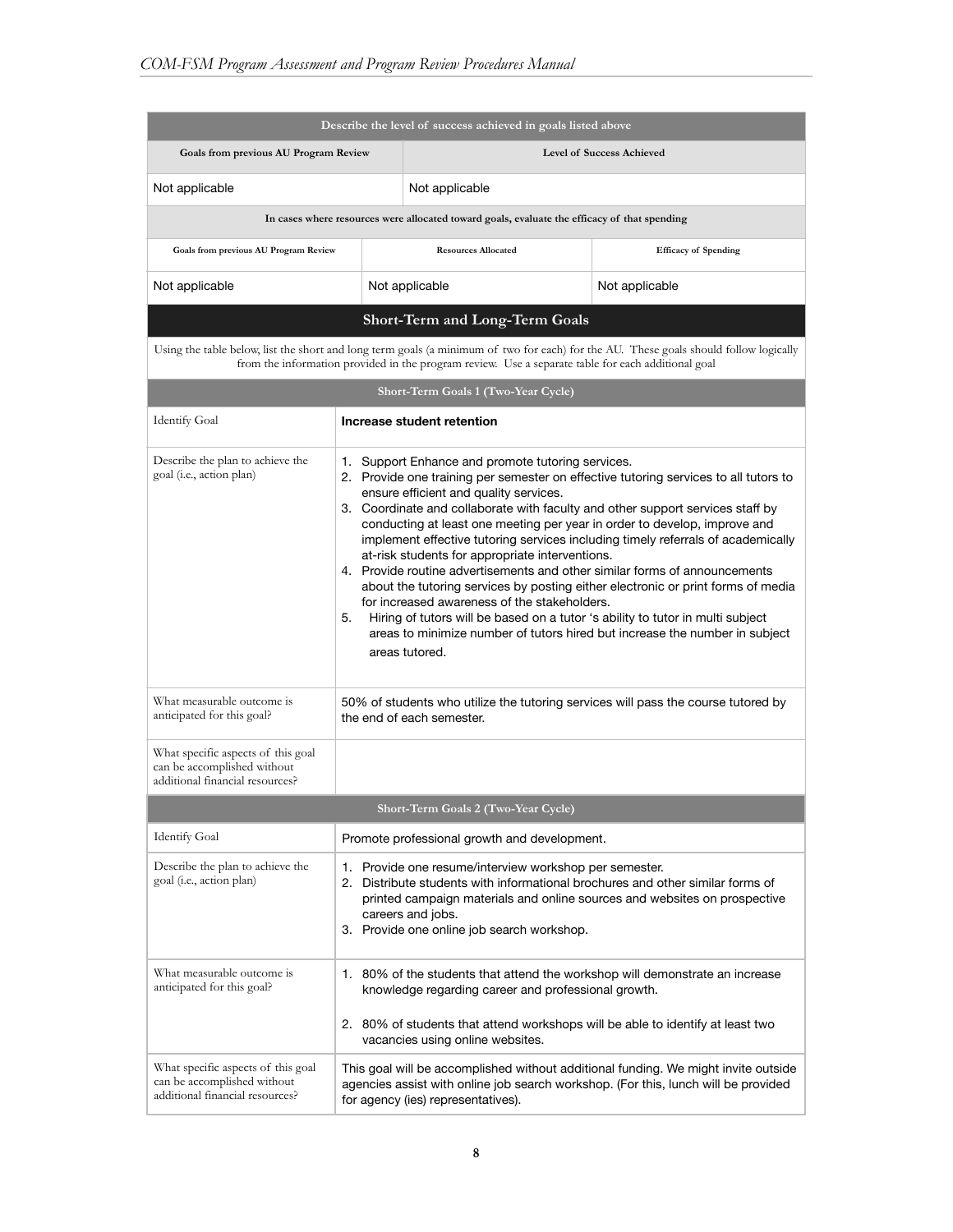| Describe the level of success achieved in goals listed above                                         |                                                                                                                                                                                                                                                                                                                                                                                                                                                                                                                                                                                                                                                                                                                                                                                                                                                                                                      |                                                                                                                                                                                                                                                                                          |                                                                                                                                                                          |  |
|------------------------------------------------------------------------------------------------------|------------------------------------------------------------------------------------------------------------------------------------------------------------------------------------------------------------------------------------------------------------------------------------------------------------------------------------------------------------------------------------------------------------------------------------------------------------------------------------------------------------------------------------------------------------------------------------------------------------------------------------------------------------------------------------------------------------------------------------------------------------------------------------------------------------------------------------------------------------------------------------------------------|------------------------------------------------------------------------------------------------------------------------------------------------------------------------------------------------------------------------------------------------------------------------------------------|--------------------------------------------------------------------------------------------------------------------------------------------------------------------------|--|
| Goals from previous AU Program Review                                                                |                                                                                                                                                                                                                                                                                                                                                                                                                                                                                                                                                                                                                                                                                                                                                                                                                                                                                                      | <b>Level of Success Achieved</b>                                                                                                                                                                                                                                                         |                                                                                                                                                                          |  |
| Not applicable                                                                                       |                                                                                                                                                                                                                                                                                                                                                                                                                                                                                                                                                                                                                                                                                                                                                                                                                                                                                                      | Not applicable                                                                                                                                                                                                                                                                           |                                                                                                                                                                          |  |
| In cases where resources were allocated toward goals, evaluate the efficacy of that spending         |                                                                                                                                                                                                                                                                                                                                                                                                                                                                                                                                                                                                                                                                                                                                                                                                                                                                                                      |                                                                                                                                                                                                                                                                                          |                                                                                                                                                                          |  |
| Goals from previous AU Program Review                                                                |                                                                                                                                                                                                                                                                                                                                                                                                                                                                                                                                                                                                                                                                                                                                                                                                                                                                                                      | <b>Resources Allocated</b>                                                                                                                                                                                                                                                               | <b>Efficacy of Spending</b>                                                                                                                                              |  |
| Not applicable                                                                                       |                                                                                                                                                                                                                                                                                                                                                                                                                                                                                                                                                                                                                                                                                                                                                                                                                                                                                                      | Not applicable                                                                                                                                                                                                                                                                           | Not applicable                                                                                                                                                           |  |
|                                                                                                      |                                                                                                                                                                                                                                                                                                                                                                                                                                                                                                                                                                                                                                                                                                                                                                                                                                                                                                      | Short-Term and Long-Term Goals                                                                                                                                                                                                                                                           |                                                                                                                                                                          |  |
|                                                                                                      |                                                                                                                                                                                                                                                                                                                                                                                                                                                                                                                                                                                                                                                                                                                                                                                                                                                                                                      | from the information provided in the program review. Use a separate table for each additional goal                                                                                                                                                                                       | Using the table below, list the short and long term goals (a minimum of two for each) for the AU. These goals should follow logically                                    |  |
|                                                                                                      |                                                                                                                                                                                                                                                                                                                                                                                                                                                                                                                                                                                                                                                                                                                                                                                                                                                                                                      | Short-Term Goals 1 (Two-Year Cycle)                                                                                                                                                                                                                                                      |                                                                                                                                                                          |  |
| <b>Identify Goal</b>                                                                                 |                                                                                                                                                                                                                                                                                                                                                                                                                                                                                                                                                                                                                                                                                                                                                                                                                                                                                                      | Increase student retention                                                                                                                                                                                                                                                               |                                                                                                                                                                          |  |
| Describe the plan to achieve the<br>goal (i.e., action plan)                                         | 1. Support Enhance and promote tutoring services.<br>2. Provide one training per semester on effective tutoring services to all tutors to<br>ensure efficient and quality services.<br>3. Coordinate and collaborate with faculty and other support services staff by<br>conducting at least one meeting per year in order to develop, improve and<br>implement effective tutoring services including timely referrals of academically<br>at-risk students for appropriate interventions.<br>4. Provide routine advertisements and other similar forms of announcements<br>about the tutoring services by posting either electronic or print forms of media<br>for increased awareness of the stakeholders.<br>5.<br>Hiring of tutors will be based on a tutor 's ability to tutor in multi subject<br>areas to minimize number of tutors hired but increase the number in subject<br>areas tutored. |                                                                                                                                                                                                                                                                                          |                                                                                                                                                                          |  |
| What measurable outcome is<br>anticipated for this goal?                                             |                                                                                                                                                                                                                                                                                                                                                                                                                                                                                                                                                                                                                                                                                                                                                                                                                                                                                                      | the end of each semester.                                                                                                                                                                                                                                                                | 50% of students who utilize the tutoring services will pass the course tutored by                                                                                        |  |
| What specific aspects of this goal<br>can be accomplished without<br>additional financial resources? |                                                                                                                                                                                                                                                                                                                                                                                                                                                                                                                                                                                                                                                                                                                                                                                                                                                                                                      |                                                                                                                                                                                                                                                                                          |                                                                                                                                                                          |  |
|                                                                                                      |                                                                                                                                                                                                                                                                                                                                                                                                                                                                                                                                                                                                                                                                                                                                                                                                                                                                                                      | Short-Term Goals 2 (Two-Year Cycle)                                                                                                                                                                                                                                                      |                                                                                                                                                                          |  |
| <b>Identify Goal</b>                                                                                 |                                                                                                                                                                                                                                                                                                                                                                                                                                                                                                                                                                                                                                                                                                                                                                                                                                                                                                      | Promote professional growth and development.                                                                                                                                                                                                                                             |                                                                                                                                                                          |  |
| Describe the plan to achieve the<br>goal (i.e., action plan)                                         |                                                                                                                                                                                                                                                                                                                                                                                                                                                                                                                                                                                                                                                                                                                                                                                                                                                                                                      | 1. Provide one resume/interview workshop per semester.<br>2. Distribute students with informational brochures and other similar forms of<br>printed campaign materials and online sources and websites on prospective<br>careers and jobs.<br>3. Provide one online job search workshop. |                                                                                                                                                                          |  |
| What measurable outcome is<br>anticipated for this goal?                                             | 1. 80% of the students that attend the workshop will demonstrate an increase<br>knowledge regarding career and professional growth.<br>2. 80% of students that attend workshops will be able to identify at least two<br>vacancies using online websites.                                                                                                                                                                                                                                                                                                                                                                                                                                                                                                                                                                                                                                            |                                                                                                                                                                                                                                                                                          |                                                                                                                                                                          |  |
| What specific aspects of this goal<br>can be accomplished without<br>additional financial resources? |                                                                                                                                                                                                                                                                                                                                                                                                                                                                                                                                                                                                                                                                                                                                                                                                                                                                                                      | for agency (ies) representatives).                                                                                                                                                                                                                                                       | This goal will be accomplished without additional funding. We might invite outside<br>agencies assist with online job search workshop. (For this, lunch will be provided |  |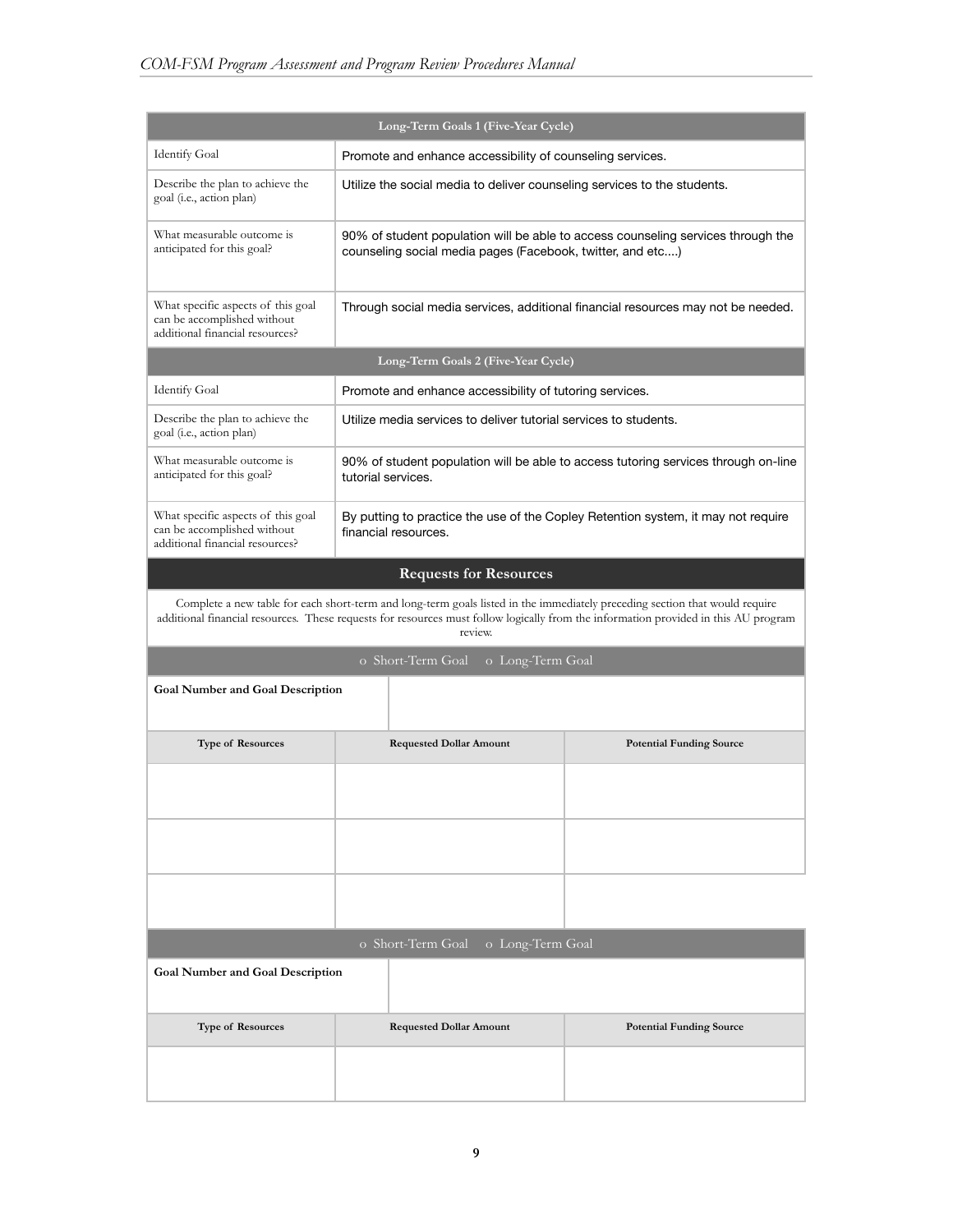| Long-Term Goals 1 (Five-Year Cycle)                                                                  |                                                                                                           |                                                                          |                                                                                                                                                                                                                                                                    |  |  |
|------------------------------------------------------------------------------------------------------|-----------------------------------------------------------------------------------------------------------|--------------------------------------------------------------------------|--------------------------------------------------------------------------------------------------------------------------------------------------------------------------------------------------------------------------------------------------------------------|--|--|
| <b>Identify Goal</b>                                                                                 |                                                                                                           | Promote and enhance accessibility of counseling services.                |                                                                                                                                                                                                                                                                    |  |  |
| Describe the plan to achieve the<br>goal (i.e., action plan)                                         |                                                                                                           | Utilize the social media to deliver counseling services to the students. |                                                                                                                                                                                                                                                                    |  |  |
| What measurable outcome is<br>anticipated for this goal?                                             |                                                                                                           | counseling social media pages (Facebook, twitter, and etc)               | 90% of student population will be able to access counseling services through the                                                                                                                                                                                   |  |  |
| What specific aspects of this goal<br>can be accomplished without<br>additional financial resources? |                                                                                                           |                                                                          | Through social media services, additional financial resources may not be needed.                                                                                                                                                                                   |  |  |
|                                                                                                      |                                                                                                           | Long-Term Goals 2 (Five-Year Cycle)                                      |                                                                                                                                                                                                                                                                    |  |  |
| <b>Identify Goal</b>                                                                                 |                                                                                                           | Promote and enhance accessibility of tutoring services.                  |                                                                                                                                                                                                                                                                    |  |  |
| Describe the plan to achieve the<br>goal (i.e., action plan)                                         |                                                                                                           | Utilize media services to deliver tutorial services to students.         |                                                                                                                                                                                                                                                                    |  |  |
| What measurable outcome is<br>anticipated for this goal?                                             | tutorial services.                                                                                        |                                                                          | 90% of student population will be able to access tutoring services through on-line                                                                                                                                                                                 |  |  |
| What specific aspects of this goal<br>can be accomplished without<br>additional financial resources? | By putting to practice the use of the Copley Retention system, it may not require<br>financial resources. |                                                                          |                                                                                                                                                                                                                                                                    |  |  |
|                                                                                                      |                                                                                                           | <b>Requests for Resources</b>                                            |                                                                                                                                                                                                                                                                    |  |  |
|                                                                                                      |                                                                                                           | review.                                                                  | Complete a new table for each short-term and long-term goals listed in the immediately preceding section that would require<br>additional financial resources. These requests for resources must follow logically from the information provided in this AU program |  |  |
|                                                                                                      |                                                                                                           | o Short-Term Goal<br>o Long-Term Goal                                    |                                                                                                                                                                                                                                                                    |  |  |
| <b>Goal Number and Goal Description</b>                                                              |                                                                                                           |                                                                          |                                                                                                                                                                                                                                                                    |  |  |
| Type of Resources                                                                                    |                                                                                                           | <b>Requested Dollar Amount</b>                                           | <b>Potential Funding Source</b>                                                                                                                                                                                                                                    |  |  |
|                                                                                                      |                                                                                                           |                                                                          |                                                                                                                                                                                                                                                                    |  |  |
|                                                                                                      |                                                                                                           |                                                                          |                                                                                                                                                                                                                                                                    |  |  |
|                                                                                                      |                                                                                                           |                                                                          |                                                                                                                                                                                                                                                                    |  |  |
| o Short-Term Goal<br>o Long-Term Goal                                                                |                                                                                                           |                                                                          |                                                                                                                                                                                                                                                                    |  |  |
|                                                                                                      | <b>Goal Number and Goal Description</b>                                                                   |                                                                          |                                                                                                                                                                                                                                                                    |  |  |
| <b>Type of Resources</b>                                                                             |                                                                                                           | <b>Requested Dollar Amount</b>                                           | <b>Potential Funding Source</b>                                                                                                                                                                                                                                    |  |  |
|                                                                                                      |                                                                                                           |                                                                          |                                                                                                                                                                                                                                                                    |  |  |

L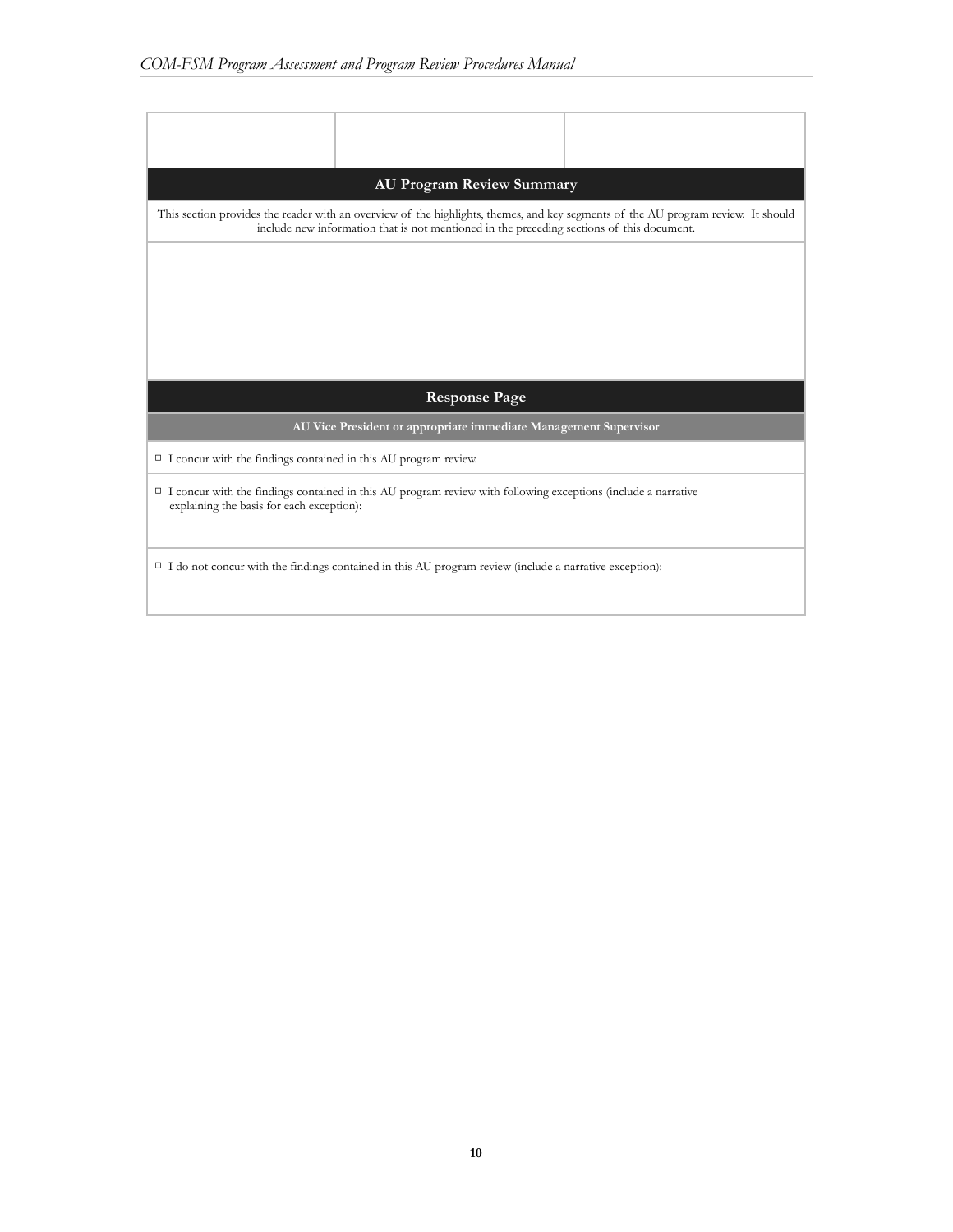| <b>AU Program Review Summary</b>                                                                                                                                                                                               |  |  |  |  |  |  |
|--------------------------------------------------------------------------------------------------------------------------------------------------------------------------------------------------------------------------------|--|--|--|--|--|--|
| This section provides the reader with an overview of the highlights, themes, and key segments of the AU program review. It should<br>include new information that is not mentioned in the preceding sections of this document. |  |  |  |  |  |  |
|                                                                                                                                                                                                                                |  |  |  |  |  |  |
|                                                                                                                                                                                                                                |  |  |  |  |  |  |
|                                                                                                                                                                                                                                |  |  |  |  |  |  |
| <b>Response Page</b>                                                                                                                                                                                                           |  |  |  |  |  |  |
| AU Vice President or appropriate immediate Management Supervisor                                                                                                                                                               |  |  |  |  |  |  |
| $\Box$ I concur with the findings contained in this AU program review.                                                                                                                                                         |  |  |  |  |  |  |
| I concur with the findings contained in this AU program review with following exceptions (include a narrative<br>explaining the basis for each exception):                                                                     |  |  |  |  |  |  |
|                                                                                                                                                                                                                                |  |  |  |  |  |  |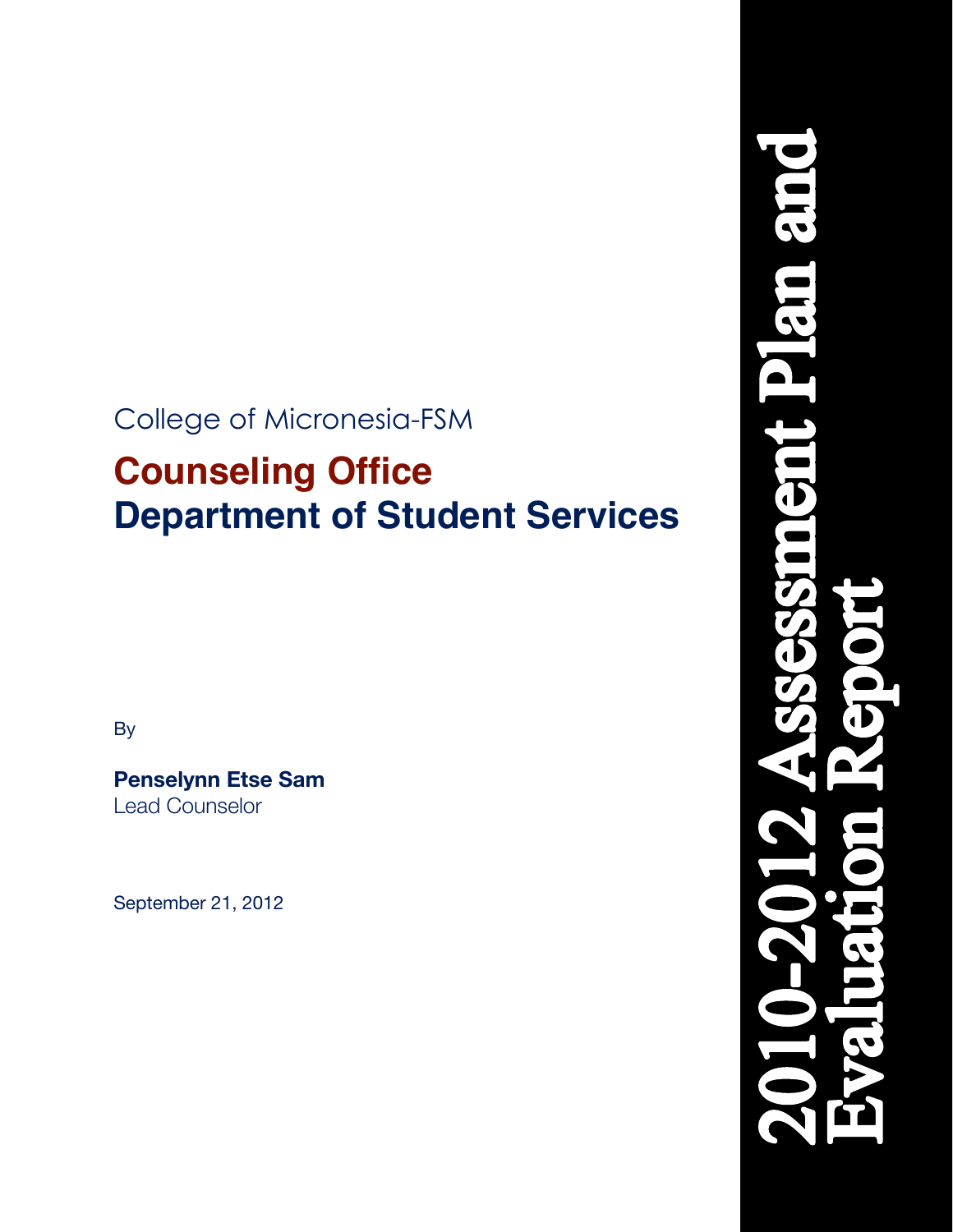## College of Micronesia-FSM

# **Counseling Office Department of Student Services**

By

**Penselynn Etse Sam** Lead Counselor

September 21, 2012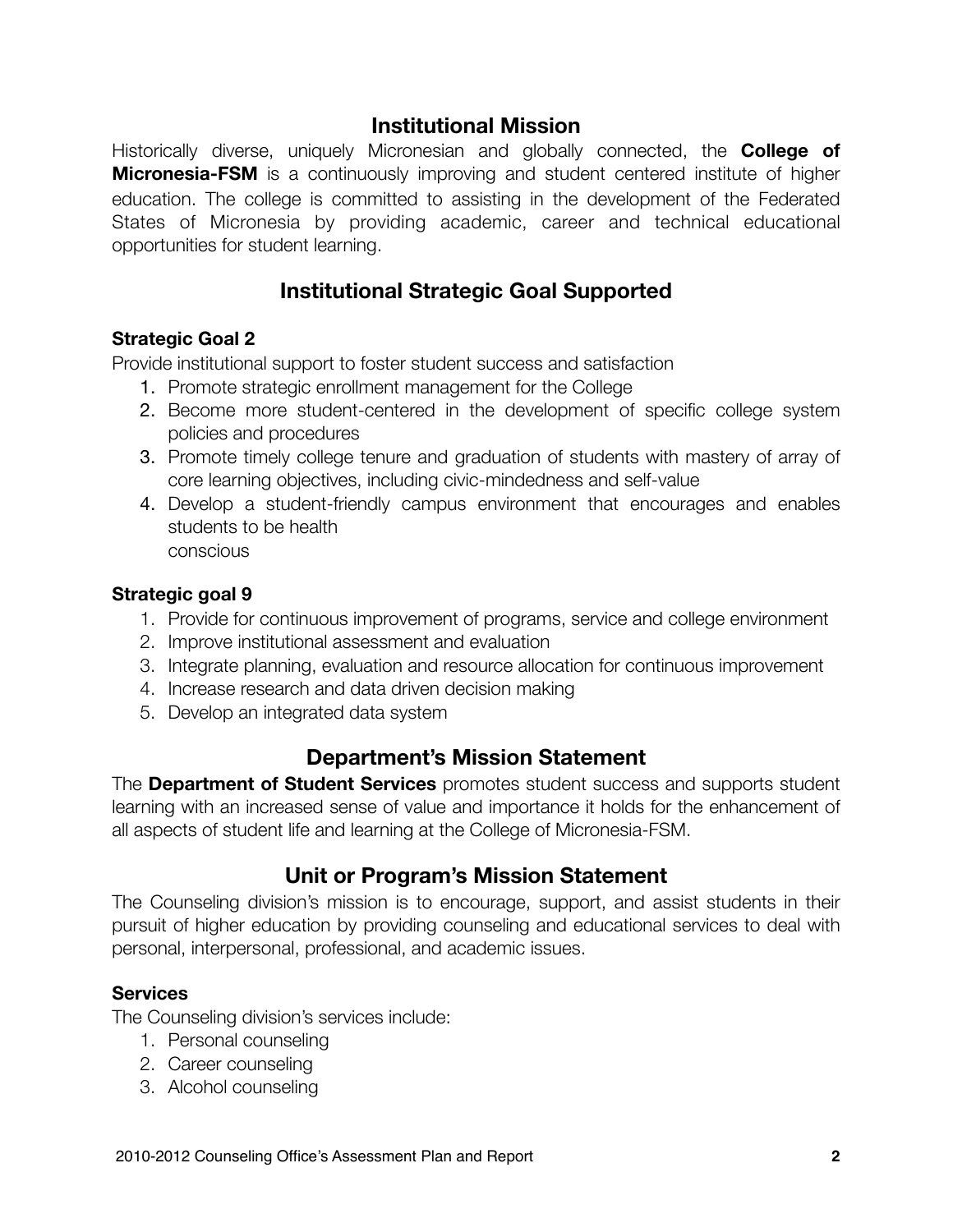### **Institutional Mission**

Historically diverse, uniquely Micronesian and globally connected, the **College of Micronesia-FSM** is a continuously improving and student centered institute of higher education. The college is committed to assisting in the development of the Federated States of Micronesia by providing academic, career and technical educational opportunities for student learning.

## **Institutional Strategic Goal Supported**

#### **Strategic Goal 2**

Provide institutional support to foster student success and satisfaction

- 1. Promote strategic enrollment management for the College
- 2. Become more student-centered in the development of specific college system policies and procedures
- 3. Promote timely college tenure and graduation of students with mastery of array of core learning objectives, including civic-mindedness and self-value
- 4. Develop a student-friendly campus environment that encourages and enables students to be health conscious

#### **Strategic goal 9**

- 1. Provide for continuous improvement of programs, service and college environment
- 2. Improve institutional assessment and evaluation
- 3. Integrate planning, evaluation and resource allocation for continuous improvement
- 4. Increase research and data driven decision making
- 5. Develop an integrated data system

#### **Department's Mission Statement**

The **Department of Student Services** promotes student success and supports student learning with an increased sense of value and importance it holds for the enhancement of all aspects of student life and learning at the College of Micronesia-FSM.

#### **Unit or Program's Mission Statement**

The Counseling division's mission is to encourage, support, and assist students in their pursuit of higher education by providing counseling and educational services to deal with personal, interpersonal, professional, and academic issues.

#### **Services**

The Counseling division's services include:

- 1. Personal counseling
- 2. Career counseling
- 3. Alcohol counseling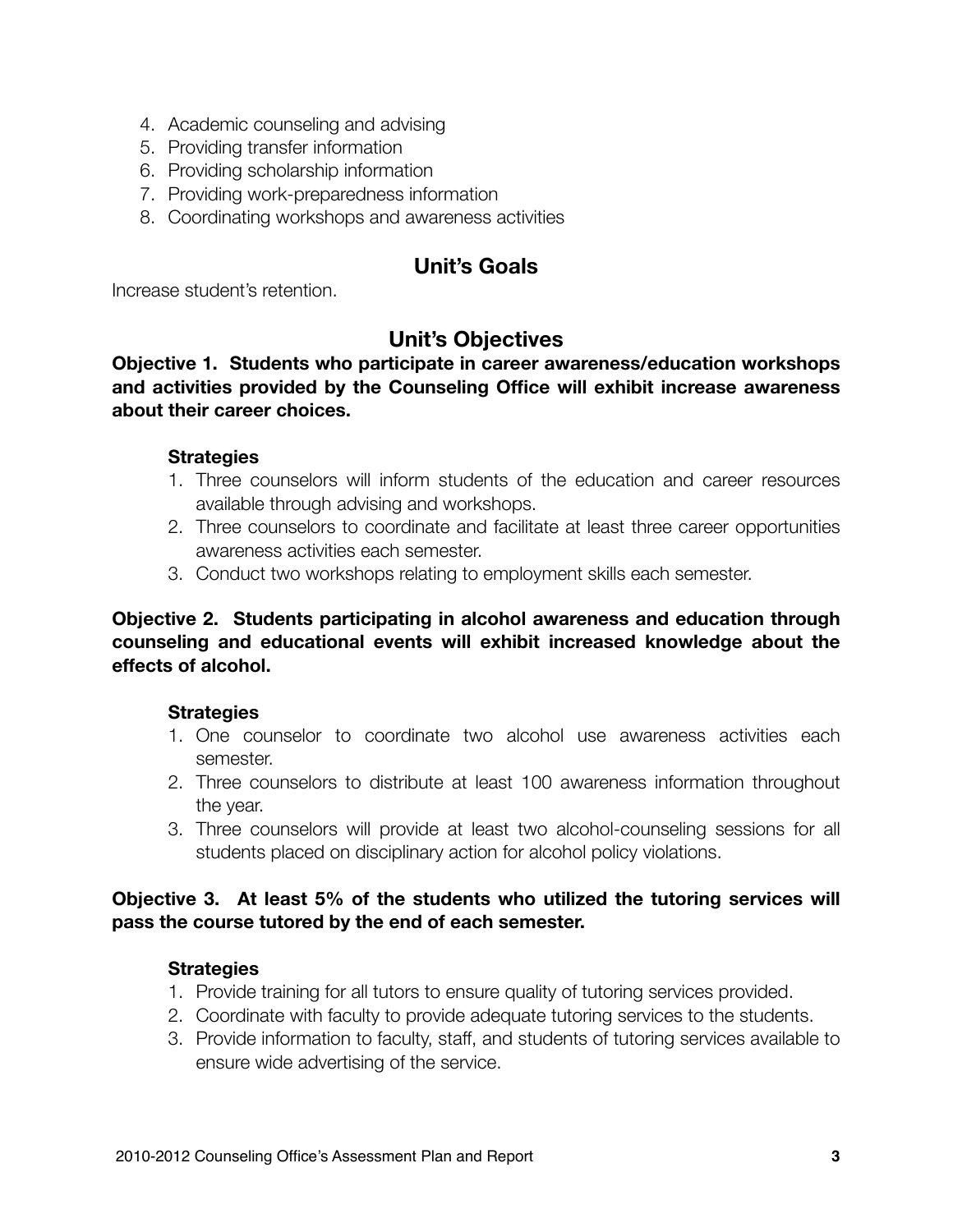- 4. Academic counseling and advising
- 5. Providing transfer information
- 6. Providing scholarship information
- 7. Providing work-preparedness information
- 8. Coordinating workshops and awareness activities

## **Unit's Goals**

Increase student's retention.

## **Unit's Objectives**

**Objective 1. Students who participate in career awareness/education workshops and activities provided by the Counseling Office will exhibit increase awareness about their career choices.**

#### **Strategies**

- 1. Three counselors will inform students of the education and career resources available through advising and workshops.
- 2. Three counselors to coordinate and facilitate at least three career opportunities awareness activities each semester.
- 3. Conduct two workshops relating to employment skills each semester.

#### **Objective 2. Students participating in alcohol awareness and education through counseling and educational events will exhibit increased knowledge about the effects of alcohol.**

#### **Strategies**

- 1. One counselor to coordinate two alcohol use awareness activities each semester.
- 2. Three counselors to distribute at least 100 awareness information throughout the year.
- 3. Three counselors will provide at least two alcohol-counseling sessions for all students placed on disciplinary action for alcohol policy violations.

#### **Objective 3. At least 5% of the students who utilized the tutoring services will pass the course tutored by the end of each semester.**

#### **Strategies**

- 1. Provide training for all tutors to ensure quality of tutoring services provided.
- 2. Coordinate with faculty to provide adequate tutoring services to the students.
- 3. Provide information to faculty, staff, and students of tutoring services available to ensure wide advertising of the service.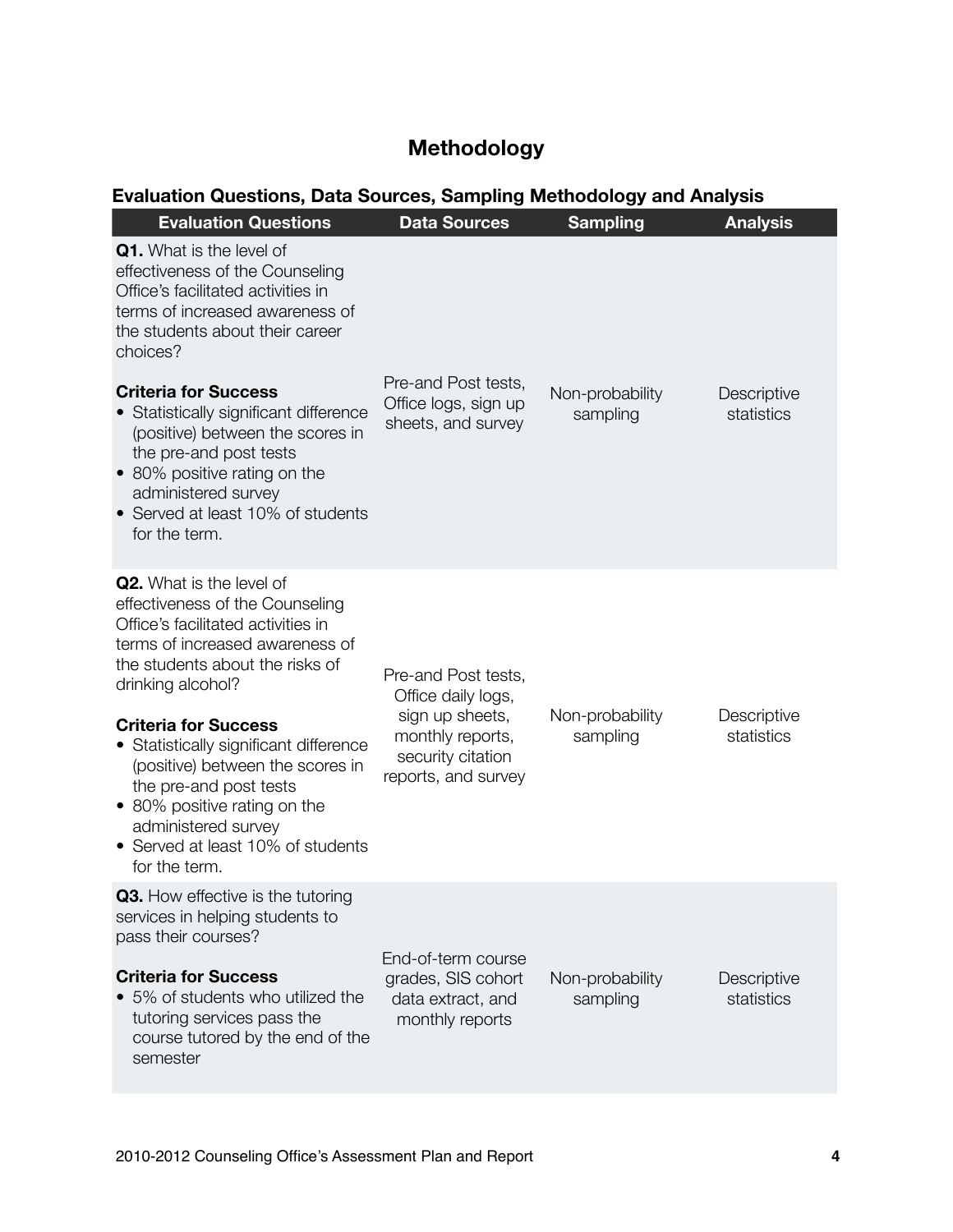## **Methodology**

## **Evaluation Questions, Data Sources, Sampling Methodology and Analysis**

| <b>Evaluation Questions</b>                                                                                                                                                                                                                                                                                                                                                                                                                             | <b>Data Sources</b>                                                                                                          | <b>Sampling</b>             | <b>Analysis</b>           |
|---------------------------------------------------------------------------------------------------------------------------------------------------------------------------------------------------------------------------------------------------------------------------------------------------------------------------------------------------------------------------------------------------------------------------------------------------------|------------------------------------------------------------------------------------------------------------------------------|-----------------------------|---------------------------|
| <b>Q1.</b> What is the level of<br>effectiveness of the Counseling<br>Office's facilitated activities in<br>terms of increased awareness of<br>the students about their career<br>choices?<br><b>Criteria for Success</b><br>Statistically significant difference<br>(positive) between the scores in<br>the pre-and post tests<br>• 80% positive rating on the<br>administered survey<br>Served at least 10% of students<br>for the term.              | Pre-and Post tests,<br>Office logs, sign up<br>sheets, and survey                                                            | Non-probability<br>sampling | Descriptive<br>statistics |
| <b>Q2.</b> What is the level of<br>effectiveness of the Counseling<br>Office's facilitated activities in<br>terms of increased awareness of<br>the students about the risks of<br>drinking alcohol?<br><b>Criteria for Success</b><br>• Statistically significant difference<br>(positive) between the scores in<br>the pre-and post tests<br>• 80% positive rating on the<br>administered survey<br>• Served at least 10% of students<br>for the term. | Pre-and Post tests,<br>Office daily logs,<br>sign up sheets,<br>monthly reports,<br>security citation<br>reports, and survey | Non-probability<br>sampling | Descriptive<br>statistics |
| <b>Q3.</b> How effective is the tutoring<br>services in helping students to<br>pass their courses?<br><b>Criteria for Success</b><br>5% of students who utilized the<br>tutoring services pass the<br>course tutored by the end of the<br>semester                                                                                                                                                                                                      | End-of-term course<br>grades, SIS cohort<br>data extract, and<br>monthly reports                                             | Non-probability<br>sampling | Descriptive<br>statistics |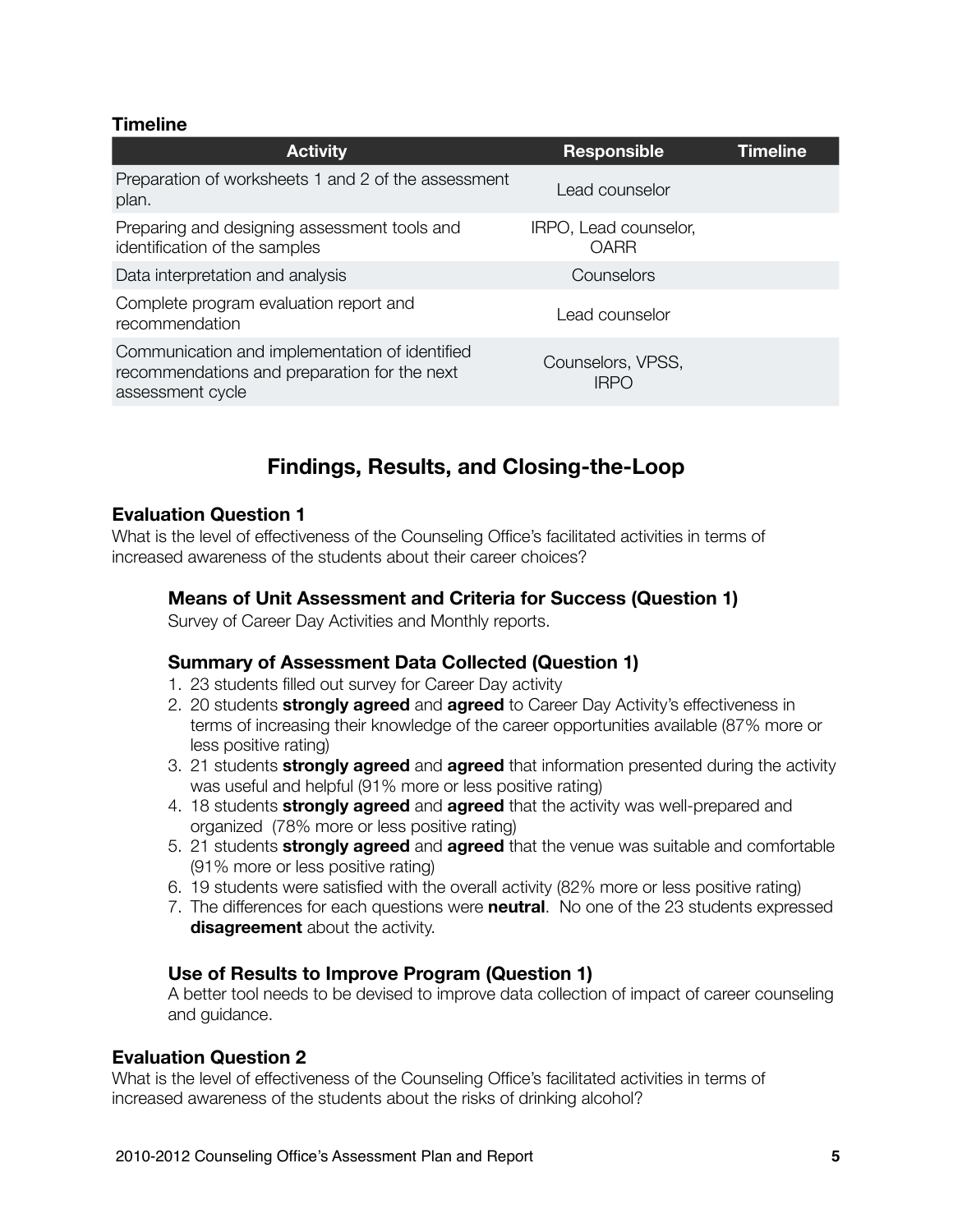#### **Timeline**

| <b>Activity</b>                                                                                                    | <b>Responsible</b>               | Timeline |
|--------------------------------------------------------------------------------------------------------------------|----------------------------------|----------|
| Preparation of worksheets 1 and 2 of the assessment<br>plan.                                                       | Lead counselor                   |          |
| Preparing and designing assessment tools and<br>identification of the samples                                      | IRPO, Lead counselor,<br>OARR    |          |
| Data interpretation and analysis                                                                                   | Counselors                       |          |
| Complete program evaluation report and<br>recommendation                                                           | Lead counselor                   |          |
| Communication and implementation of identified<br>recommendations and preparation for the next<br>assessment cycle | Counselors, VPSS,<br><b>IRPO</b> |          |

## **Findings, Results, and Closing-the-Loop**

#### **Evaluation Question 1**

What is the level of effectiveness of the Counseling Office's facilitated activities in terms of increased awareness of the students about their career choices?

#### **Means of Unit Assessment and Criteria for Success (Question 1)**

Survey of Career Day Activities and Monthly reports.

#### **Summary of Assessment Data Collected (Question 1)**

- 1. 23 students filled out survey for Career Day activity
- 2. 20 students **strongly agreed** and **agreed** to Career Day Activity's effectiveness in terms of increasing their knowledge of the career opportunities available (87% more or less positive rating)
- 3. 21 students **strongly agreed** and **agreed** that information presented during the activity was useful and helpful (91% more or less positive rating)
- 4. 18 students **strongly agreed** and **agreed** that the activity was well-prepared and organized (78% more or less positive rating)
- 5. 21 students **strongly agreed** and **agreed** that the venue was suitable and comfortable (91% more or less positive rating)
- 6. 19 students were satisfied with the overall activity (82% more or less positive rating)
- 7. The differences for each questions were **neutral**. No one of the 23 students expressed **disagreement** about the activity.

#### **Use of Results to Improve Program (Question 1)**

A better tool needs to be devised to improve data collection of impact of career counseling and guidance.

#### **Evaluation Question 2**

What is the level of effectiveness of the Counseling Office's facilitated activities in terms of increased awareness of the students about the risks of drinking alcohol?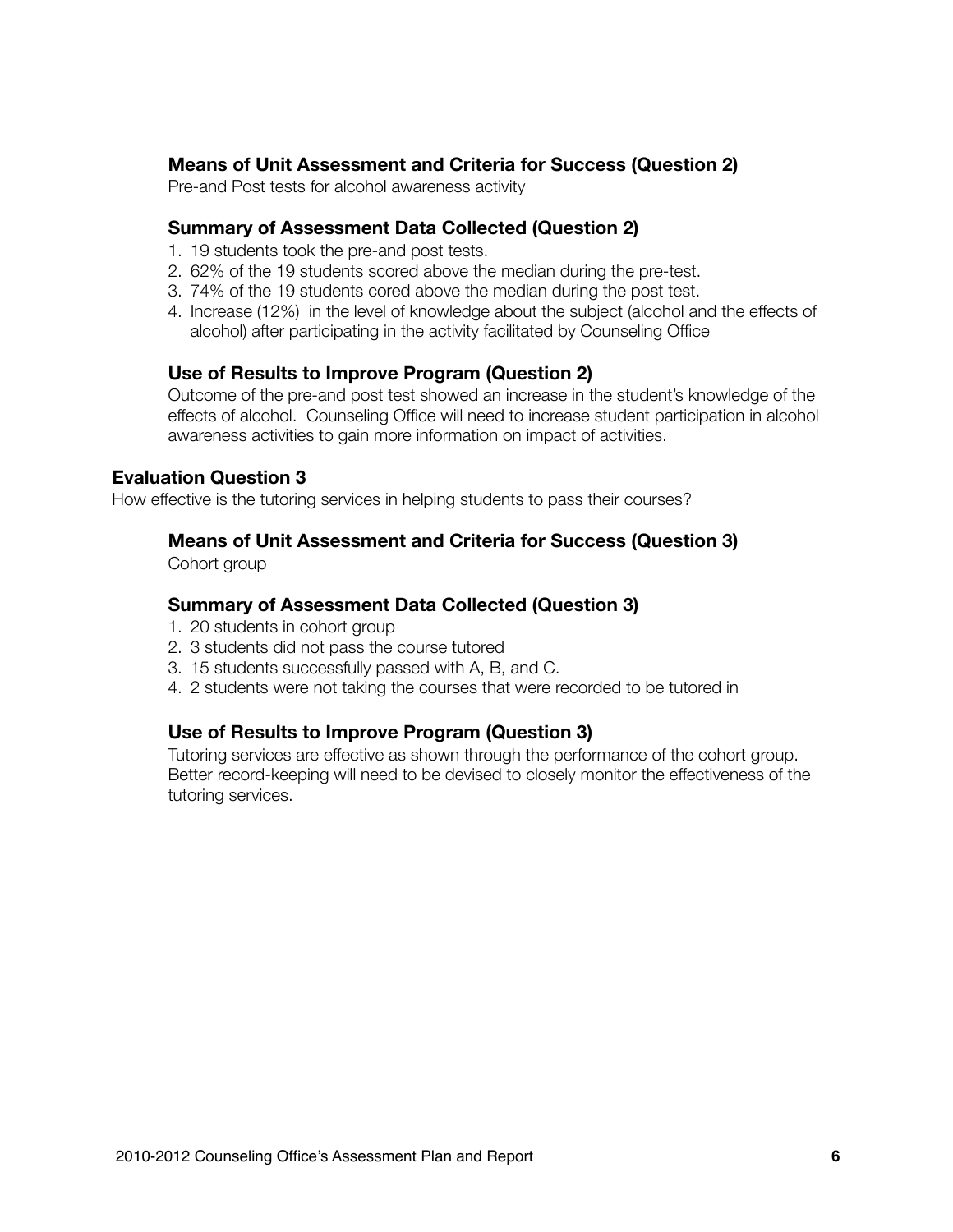#### **Means of Unit Assessment and Criteria for Success (Question 2)**

Pre-and Post tests for alcohol awareness activity

#### **Summary of Assessment Data Collected (Question 2)**

- 1. 19 students took the pre-and post tests.
- 2. 62% of the 19 students scored above the median during the pre-test.
- 3. 74% of the 19 students cored above the median during the post test.
- 4. Increase (12%) in the level of knowledge about the subject (alcohol and the effects of alcohol) after participating in the activity facilitated by Counseling Office

#### **Use of Results to Improve Program (Question 2)**

Outcome of the pre-and post test showed an increase in the student's knowledge of the effects of alcohol. Counseling Office will need to increase student participation in alcohol awareness activities to gain more information on impact of activities.

#### **Evaluation Question 3**

How effective is the tutoring services in helping students to pass their courses?

#### **Means of Unit Assessment and Criteria for Success (Question 3)**

Cohort group

#### **Summary of Assessment Data Collected (Question 3)**

- 1. 20 students in cohort group
- 2. 3 students did not pass the course tutored
- 3. 15 students successfully passed with A, B, and C.
- 4. 2 students were not taking the courses that were recorded to be tutored in

#### **Use of Results to Improve Program (Question 3)**

Tutoring services are effective as shown through the performance of the cohort group. Better record-keeping will need to be devised to closely monitor the effectiveness of the tutoring services.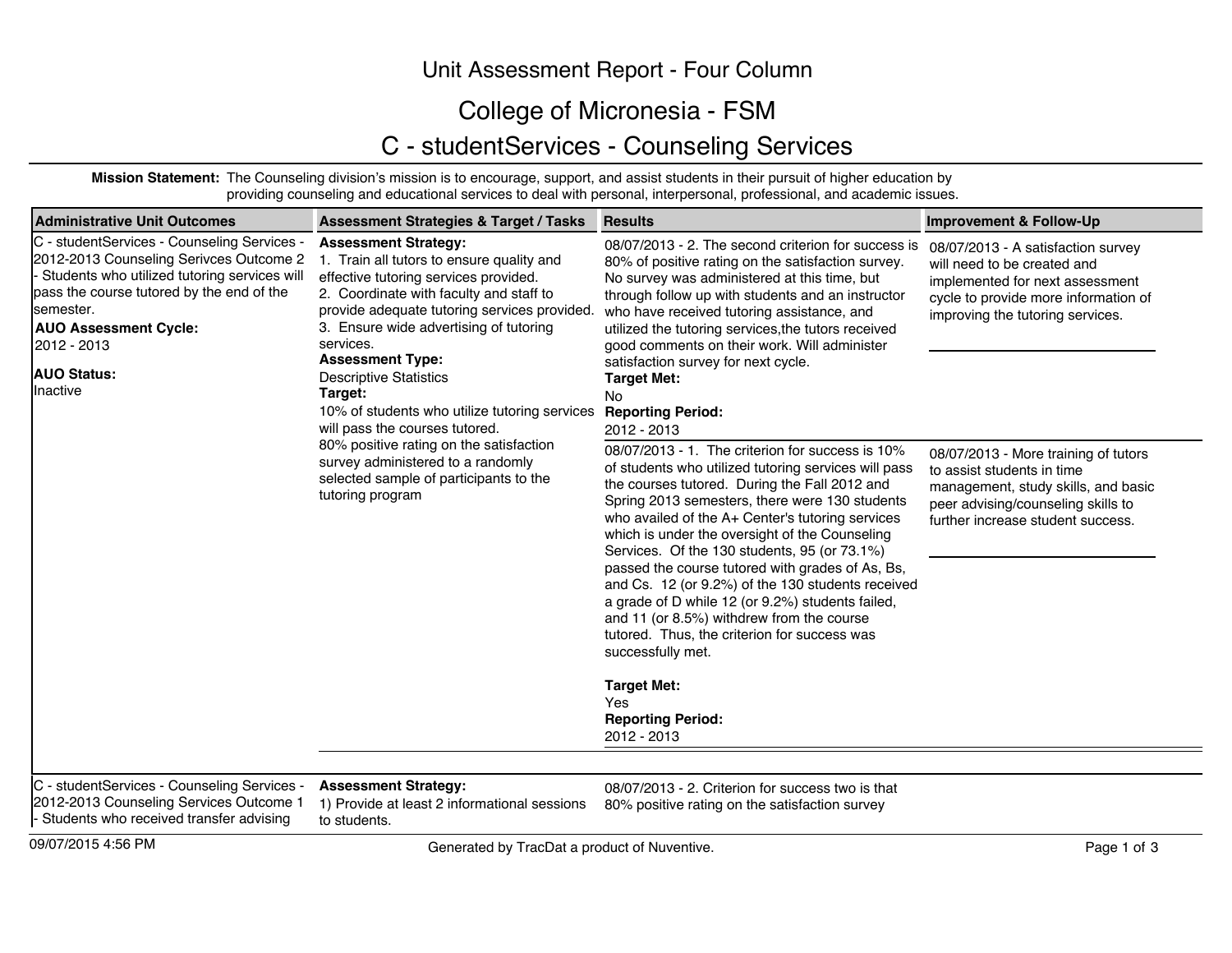## Unit Assessment Report - Four Column

## College of Micronesia - FSM

## C - studentServices - Counseling Services

**Mission Statement:** The Counseling division's mission is to encourage, support, and assist students in their pursuit of higher education by providing counseling and educational services to deal with personal, interpersonal, professional, and academic issues.

| <b>Administrative Unit Outcomes</b>                                                                                                                                                                                                                                                                       | <b>Assessment Strategies &amp; Target / Tasks</b>                                                                                                                                                                                                                                                                                                                                                     | <b>Results</b>                                                                                                                                                                                                                                                                                                                                                                                                                                                                                                                                                                                                                                                                       | <b>Improvement &amp; Follow-Up</b>                                                                                                                                                   |
|-----------------------------------------------------------------------------------------------------------------------------------------------------------------------------------------------------------------------------------------------------------------------------------------------------------|-------------------------------------------------------------------------------------------------------------------------------------------------------------------------------------------------------------------------------------------------------------------------------------------------------------------------------------------------------------------------------------------------------|--------------------------------------------------------------------------------------------------------------------------------------------------------------------------------------------------------------------------------------------------------------------------------------------------------------------------------------------------------------------------------------------------------------------------------------------------------------------------------------------------------------------------------------------------------------------------------------------------------------------------------------------------------------------------------------|--------------------------------------------------------------------------------------------------------------------------------------------------------------------------------------|
| C - studentServices - Counseling Services -<br>2012-2013 Counseling Serivces Outcome 2<br>Students who utilized tutoring services will<br>pass the course tutored by the end of the<br>semester.<br><b>AUO Assessment Cycle:</b><br>services.<br>2012 - 2013<br><b>AUO Status:</b><br>Inactive<br>Target: | <b>Assessment Strategy:</b><br>1. Train all tutors to ensure quality and<br>effective tutoring services provided.<br>2. Coordinate with faculty and staff to<br>provide adequate tutoring services provided.<br>3. Ensure wide advertising of tutoring<br><b>Assessment Type:</b><br><b>Descriptive Statistics</b><br>10% of students who utilize tutoring services<br>will pass the courses tutored. | 08/07/2013 - 2. The second criterion for success is<br>80% of positive rating on the satisfaction survey.<br>No survey was administered at this time, but<br>through follow up with students and an instructor<br>who have received tutoring assistance, and<br>utilized the tutoring services, the tutors received<br>good comments on their work. Will administer<br>satisfaction survey for next cycle.<br><b>Target Met:</b><br>No.<br><b>Reporting Period:</b><br>2012 - 2013                                                                                                                                                                                                   | 08/07/2013 - A satisfaction survey<br>will need to be created and<br>implemented for next assessment<br>cycle to provide more information of<br>improving the tutoring services.     |
|                                                                                                                                                                                                                                                                                                           | 80% positive rating on the satisfaction<br>survey administered to a randomly<br>selected sample of participants to the<br>tutoring program                                                                                                                                                                                                                                                            | 08/07/2013 - 1. The criterion for success is 10%<br>of students who utilized tutoring services will pass<br>the courses tutored. During the Fall 2012 and<br>Spring 2013 semesters, there were 130 students<br>who availed of the A+ Center's tutoring services<br>which is under the oversight of the Counseling<br>Services. Of the 130 students, 95 (or 73.1%)<br>passed the course tutored with grades of As, Bs,<br>and Cs. 12 (or 9.2%) of the 130 students received<br>a grade of D while 12 (or 9.2%) students failed,<br>and 11 (or 8.5%) withdrew from the course<br>tutored. Thus, the criterion for success was<br>successfully met.<br><b>Target Met:</b><br><b>Yes</b> | 08/07/2013 - More training of tutors<br>to assist students in time<br>management, study skills, and basic<br>peer advising/counseling skills to<br>further increase student success. |
|                                                                                                                                                                                                                                                                                                           |                                                                                                                                                                                                                                                                                                                                                                                                       | <b>Reporting Period:</b><br>2012 - 2013                                                                                                                                                                                                                                                                                                                                                                                                                                                                                                                                                                                                                                              |                                                                                                                                                                                      |
| C - studentServices - Counseling Services -<br>2012-2013 Counseling Services Outcome 1<br>- Students who received transfer advising                                                                                                                                                                       | <b>Assessment Strategy:</b><br>1) Provide at least 2 informational sessions<br>to students.                                                                                                                                                                                                                                                                                                           | 08/07/2013 - 2. Criterion for success two is that<br>80% positive rating on the satisfaction survey                                                                                                                                                                                                                                                                                                                                                                                                                                                                                                                                                                                  |                                                                                                                                                                                      |

09/07/2015 4:56 PM Page 1 of 3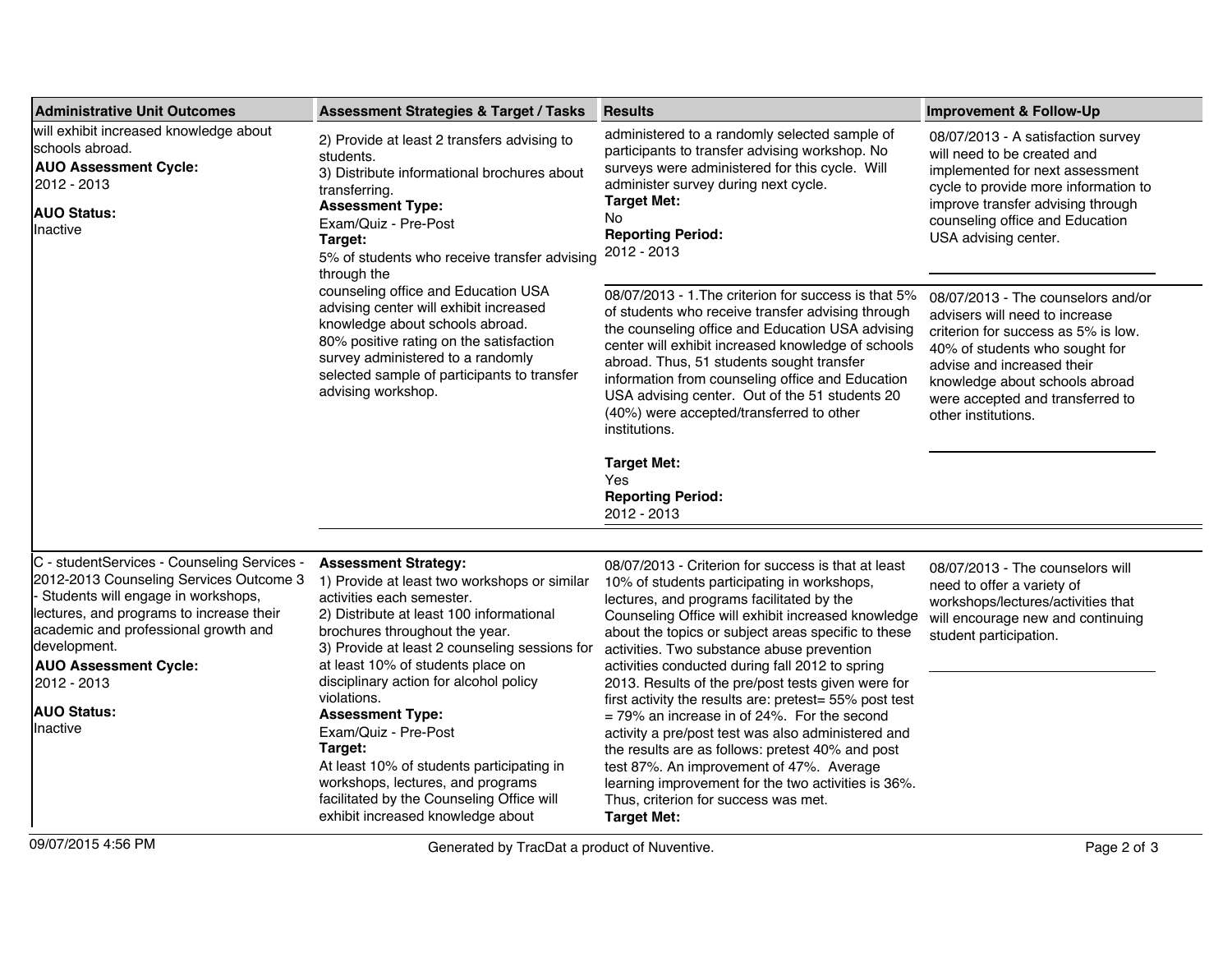| <b>Administrative Unit Outcomes</b>                                                                                                                                                                                                                                                                               | <b>Assessment Strategies &amp; Target / Tasks</b>                                                                                                                                                                                                                                                                                                                                                                                                                                                                                                                       | <b>Results</b>                                                                                                                                                                                                                                                                                                                                                                                                                                                                                                                                                                                                                                                                                                                                                                                          | Improvement & Follow-Up                                                                                                                                                                                                                                                  |
|-------------------------------------------------------------------------------------------------------------------------------------------------------------------------------------------------------------------------------------------------------------------------------------------------------------------|-------------------------------------------------------------------------------------------------------------------------------------------------------------------------------------------------------------------------------------------------------------------------------------------------------------------------------------------------------------------------------------------------------------------------------------------------------------------------------------------------------------------------------------------------------------------------|---------------------------------------------------------------------------------------------------------------------------------------------------------------------------------------------------------------------------------------------------------------------------------------------------------------------------------------------------------------------------------------------------------------------------------------------------------------------------------------------------------------------------------------------------------------------------------------------------------------------------------------------------------------------------------------------------------------------------------------------------------------------------------------------------------|--------------------------------------------------------------------------------------------------------------------------------------------------------------------------------------------------------------------------------------------------------------------------|
| will exhibit increased knowledge about<br>schools abroad.<br><b>AUO Assessment Cycle:</b><br>2012 - 2013<br><b>AUO Status:</b><br>Inactive                                                                                                                                                                        | 2) Provide at least 2 transfers advising to<br>students.<br>3) Distribute informational brochures about<br>transferring.<br><b>Assessment Type:</b><br>Exam/Quiz - Pre-Post<br>Target:<br>5% of students who receive transfer advising<br>through the<br>counseling office and Education USA<br>advising center will exhibit increased<br>knowledge about schools abroad.<br>80% positive rating on the satisfaction<br>survey administered to a randomly<br>selected sample of participants to transfer<br>advising workshop.                                          | administered to a randomly selected sample of<br>participants to transfer advising workshop. No<br>surveys were administered for this cycle. Will<br>administer survey during next cycle.<br><b>Target Met:</b><br>No<br><b>Reporting Period:</b><br>2012 - 2013                                                                                                                                                                                                                                                                                                                                                                                                                                                                                                                                        | 08/07/2013 - A satisfaction survey<br>will need to be created and<br>implemented for next assessment<br>cycle to provide more information to<br>improve transfer advising through<br>counseling office and Education<br>USA advising center.                             |
|                                                                                                                                                                                                                                                                                                                   |                                                                                                                                                                                                                                                                                                                                                                                                                                                                                                                                                                         | 08/07/2013 - 1. The criterion for success is that 5%<br>of students who receive transfer advising through<br>the counseling office and Education USA advising<br>center will exhibit increased knowledge of schools<br>abroad. Thus, 51 students sought transfer<br>information from counseling office and Education<br>USA advising center. Out of the 51 students 20<br>(40%) were accepted/transferred to other<br>institutions.                                                                                                                                                                                                                                                                                                                                                                     | 08/07/2013 - The counselors and/or<br>advisers will need to increase<br>criterion for success as 5% is low.<br>40% of students who sought for<br>advise and increased their<br>knowledge about schools abroad<br>were accepted and transferred to<br>other institutions. |
|                                                                                                                                                                                                                                                                                                                   |                                                                                                                                                                                                                                                                                                                                                                                                                                                                                                                                                                         | <b>Target Met:</b><br>Yes<br><b>Reporting Period:</b><br>2012 - 2013                                                                                                                                                                                                                                                                                                                                                                                                                                                                                                                                                                                                                                                                                                                                    |                                                                                                                                                                                                                                                                          |
| C - studentServices - Counseling Services -<br>2012-2013 Counseling Services Outcome 3<br>Students will engage in workshops,<br>lectures, and programs to increase their<br>academic and professional growth and<br>development.<br><b>AUO Assessment Cycle:</b><br>2012 - 2013<br><b>AUO Status:</b><br>Inactive | <b>Assessment Strategy:</b><br>1) Provide at least two workshops or similar<br>activities each semester.<br>2) Distribute at least 100 informational<br>brochures throughout the year.<br>3) Provide at least 2 counseling sessions for<br>at least 10% of students place on<br>disciplinary action for alcohol policy<br>violations.<br><b>Assessment Type:</b><br>Exam/Quiz - Pre-Post<br>Target:<br>At least 10% of students participating in<br>workshops, lectures, and programs<br>facilitated by the Counseling Office will<br>exhibit increased knowledge about | 08/07/2013 - Criterion for success is that at least<br>10% of students participating in workshops,<br>lectures, and programs facilitated by the<br>Counseling Office will exhibit increased knowledge<br>about the topics or subject areas specific to these<br>activities. Two substance abuse prevention<br>activities conducted during fall 2012 to spring<br>2013. Results of the pre/post tests given were for<br>first activity the results are: pretest= 55% post test<br>= 79% an increase in of 24%. For the second<br>activity a pre/post test was also administered and<br>the results are as follows: pretest 40% and post<br>test 87%. An improvement of 47%. Average<br>learning improvement for the two activities is 36%.<br>Thus, criterion for success was met.<br><b>Target Met:</b> | 08/07/2013 - The counselors will<br>need to offer a variety of<br>workshops/lectures/activities that<br>will encourage new and continuing<br>student participation.                                                                                                      |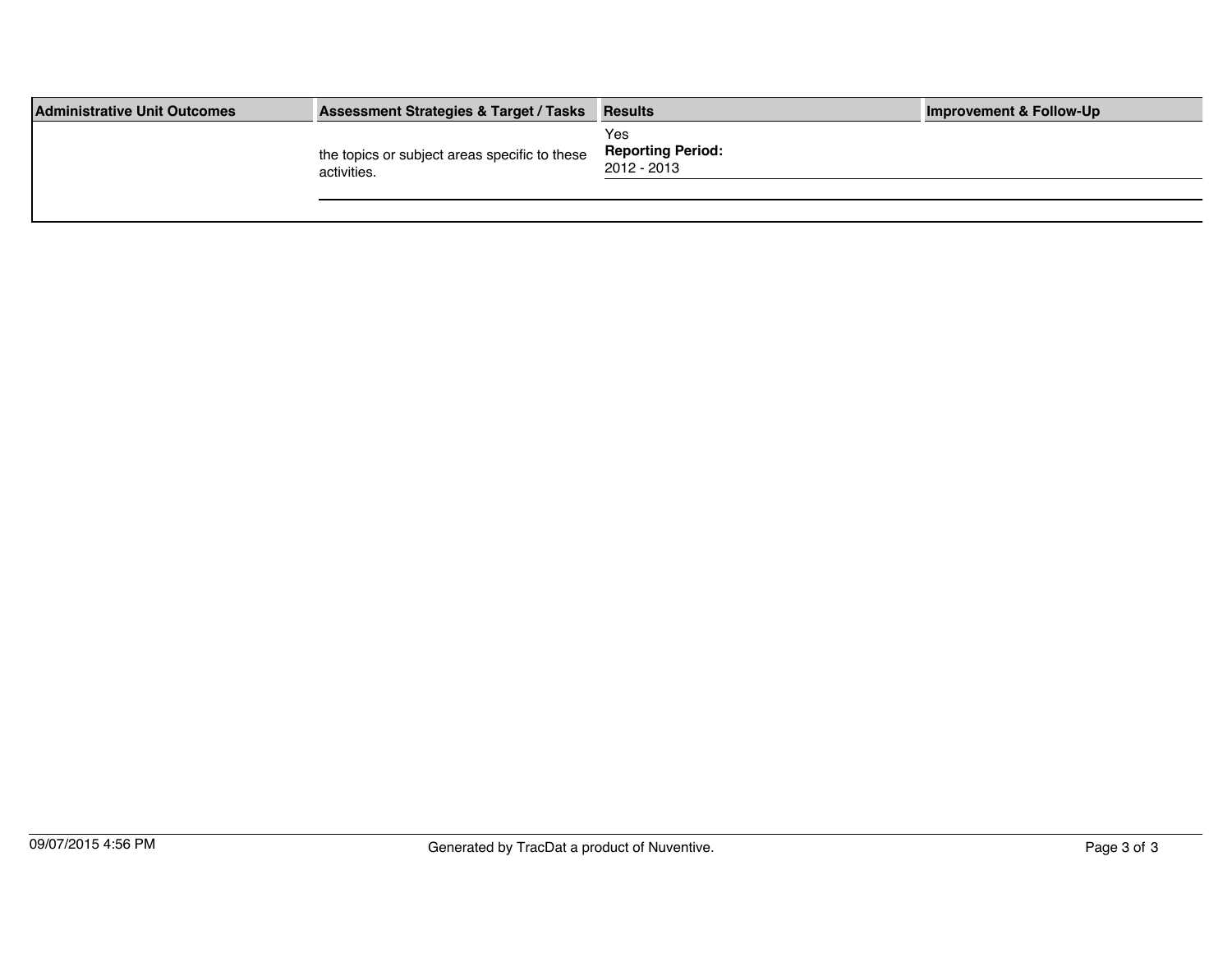| <b>Administrative Unit Outcomes</b> | <b>Assessment Strategies &amp; Target / Tasks</b>            | <b>Results</b>                                 | <b>Improvement &amp; Follow-Up</b> |
|-------------------------------------|--------------------------------------------------------------|------------------------------------------------|------------------------------------|
|                                     | the topics or subject areas specific to these<br>activities. | Yes<br><b>Reporting Period:</b><br>2012 - 2013 |                                    |
|                                     |                                                              |                                                |                                    |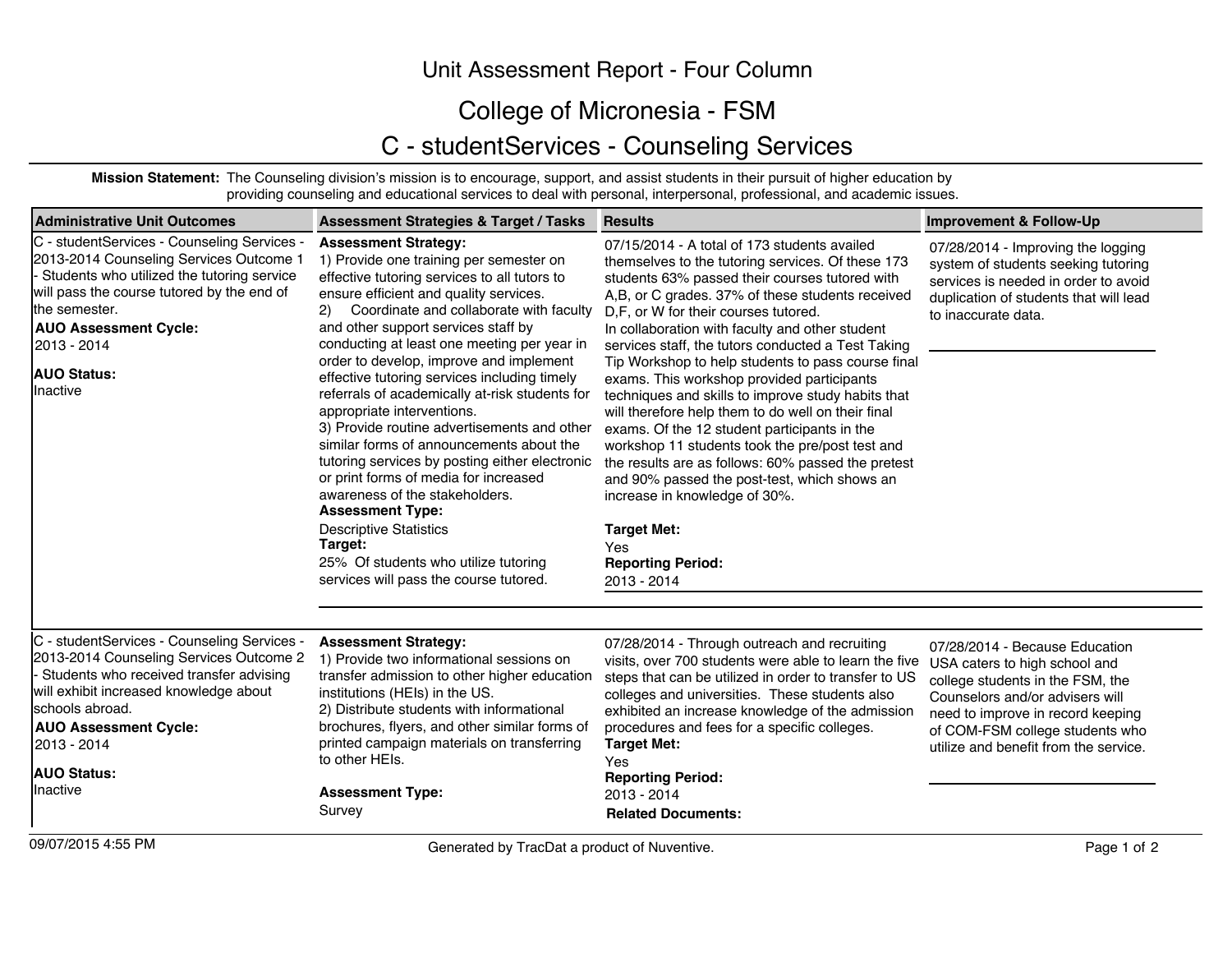## Unit Assessment Report - Four Column

## College of Micronesia - FSM

## C - studentServices - Counseling Services

**Mission Statement:** The Counseling division's mission is to encourage, support, and assist students in their pursuit of higher education by providing counseling and educational services to deal with personal, interpersonal, professional, and academic issues.

| Administrative Unit Outcomes                                                                                                                                                                                                                                                         | <b>Assessment Strategies &amp; Target / Tasks</b>                                                                                                                                                                                                                                                                                                                                                                                                                                                                                                                                                                                                                                                                                                                                                                                                                    | <b>Results</b>                                                                                                                                                                                                                                                                                                                                                                                                                                                                                                                                                                                                                                                                                                                                                                                                                                                                             | <b>Improvement &amp; Follow-Up</b>                                                                                                                                                                                                                      |
|--------------------------------------------------------------------------------------------------------------------------------------------------------------------------------------------------------------------------------------------------------------------------------------|----------------------------------------------------------------------------------------------------------------------------------------------------------------------------------------------------------------------------------------------------------------------------------------------------------------------------------------------------------------------------------------------------------------------------------------------------------------------------------------------------------------------------------------------------------------------------------------------------------------------------------------------------------------------------------------------------------------------------------------------------------------------------------------------------------------------------------------------------------------------|--------------------------------------------------------------------------------------------------------------------------------------------------------------------------------------------------------------------------------------------------------------------------------------------------------------------------------------------------------------------------------------------------------------------------------------------------------------------------------------------------------------------------------------------------------------------------------------------------------------------------------------------------------------------------------------------------------------------------------------------------------------------------------------------------------------------------------------------------------------------------------------------|---------------------------------------------------------------------------------------------------------------------------------------------------------------------------------------------------------------------------------------------------------|
| C - studentServices - Counseling Services -<br>2013-2014 Counseling Services Outcome 1<br>Students who utilized the tutoring service<br>will pass the course tutored by the end of<br>the semester.<br><b>AUO Assessment Cycle:</b><br>2013 - 2014<br><b>AUO Status:</b><br>Inactive | <b>Assessment Strategy:</b><br>1) Provide one training per semester on<br>effective tutoring services to all tutors to<br>ensure efficient and quality services.<br>Coordinate and collaborate with faculty<br>(2)<br>and other support services staff by<br>conducting at least one meeting per year in<br>order to develop, improve and implement<br>effective tutoring services including timely<br>referrals of academically at-risk students for<br>appropriate interventions.<br>3) Provide routine advertisements and other<br>similar forms of announcements about the<br>tutoring services by posting either electronic<br>or print forms of media for increased<br>awareness of the stakeholders.<br><b>Assessment Type:</b><br><b>Descriptive Statistics</b><br>Target:<br>25% Of students who utilize tutoring<br>services will pass the course tutored. | 07/15/2014 - A total of 173 students availed<br>themselves to the tutoring services. Of these 173<br>students 63% passed their courses tutored with<br>A,B, or C grades. 37% of these students received<br>D.F. or W for their courses tutored.<br>In collaboration with faculty and other student<br>services staff, the tutors conducted a Test Taking<br>Tip Workshop to help students to pass course final<br>exams. This workshop provided participants<br>techniques and skills to improve study habits that<br>will therefore help them to do well on their final<br>exams. Of the 12 student participants in the<br>workshop 11 students took the pre/post test and<br>the results are as follows: 60% passed the pretest<br>and 90% passed the post-test, which shows an<br>increase in knowledge of 30%.<br><b>Target Met:</b><br>Yes<br><b>Reporting Period:</b><br>2013 - 2014 | 07/28/2014 - Improving the logging<br>system of students seeking tutoring<br>services is needed in order to avoid<br>duplication of students that will lead<br>to inaccurate data.                                                                      |
| C - studentServices - Counseling Services -<br>2013-2014 Counseling Services Outcome 2<br>Students who received transfer advising<br>will exhibit increased knowledge about<br>Ischools abroad.<br><b>AUO Assessment Cycle:</b><br>2013 - 2014<br><b>AUO Status:</b><br>Inactive     | <b>Assessment Strategy:</b><br>1) Provide two informational sessions on<br>transfer admission to other higher education<br>institutions (HEIs) in the US.<br>2) Distribute students with informational<br>brochures, flyers, and other similar forms of<br>printed campaign materials on transferring<br>to other HEIs.<br><b>Assessment Type:</b><br>Survey                                                                                                                                                                                                                                                                                                                                                                                                                                                                                                         | 07/28/2014 - Through outreach and recruiting<br>visits, over 700 students were able to learn the five<br>steps that can be utilized in order to transfer to US<br>colleges and universities. These students also<br>exhibited an increase knowledge of the admission<br>procedures and fees for a specific colleges.<br><b>Target Met:</b><br>Yes<br><b>Reporting Period:</b><br>2013 - 2014<br><b>Related Documents:</b>                                                                                                                                                                                                                                                                                                                                                                                                                                                                  | 07/28/2014 - Because Education<br>USA caters to high school and<br>college students in the FSM, the<br>Counselors and/or advisers will<br>need to improve in record keeping<br>of COM-FSM college students who<br>utilize and benefit from the service. |